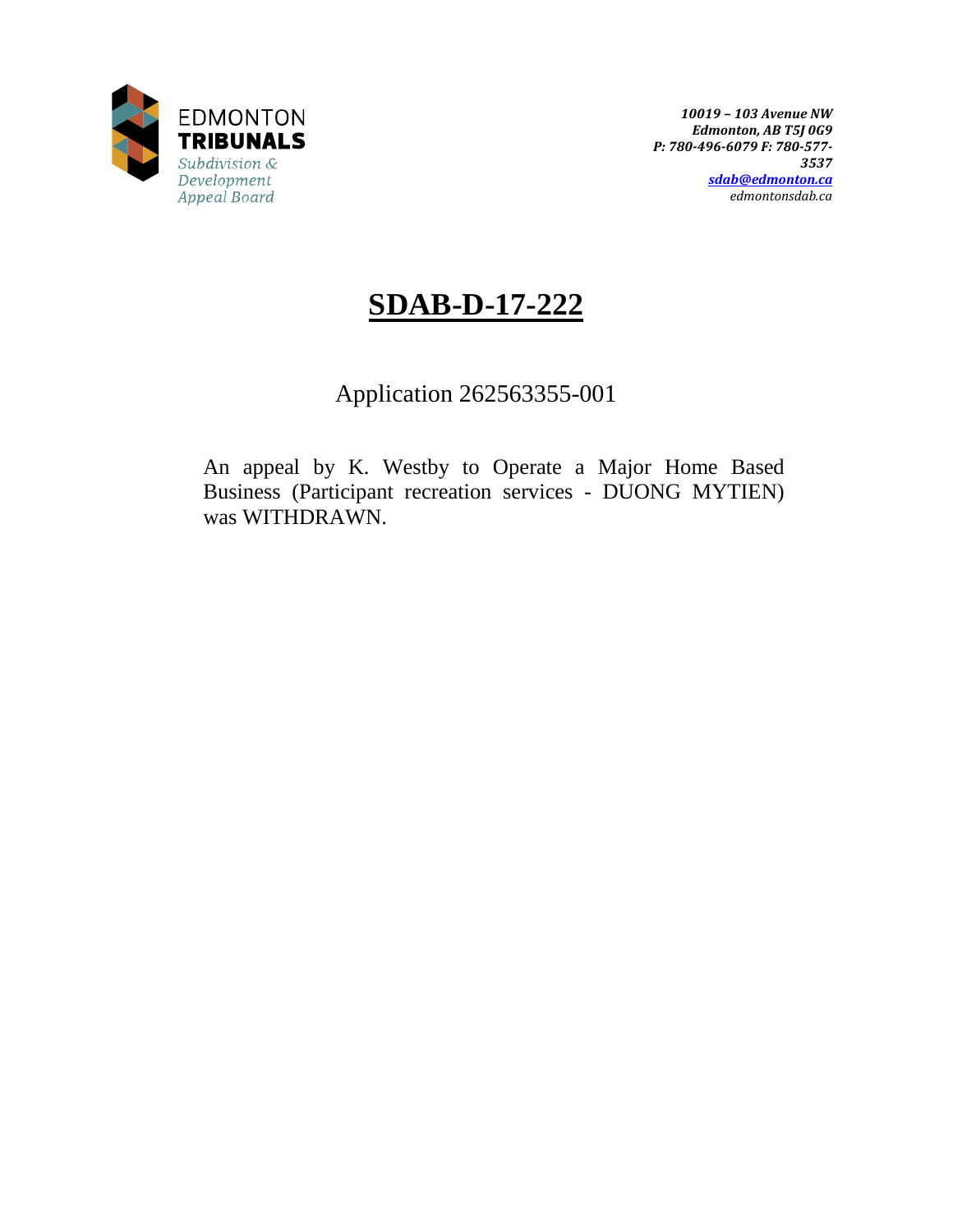

# **SDAB-D-17-222**

Application 262563355-001

An appeal by K. Westby to Operate a Major Home Based Business (Participant recreation services - DUONG MYTIEN) was WITHDRAWN.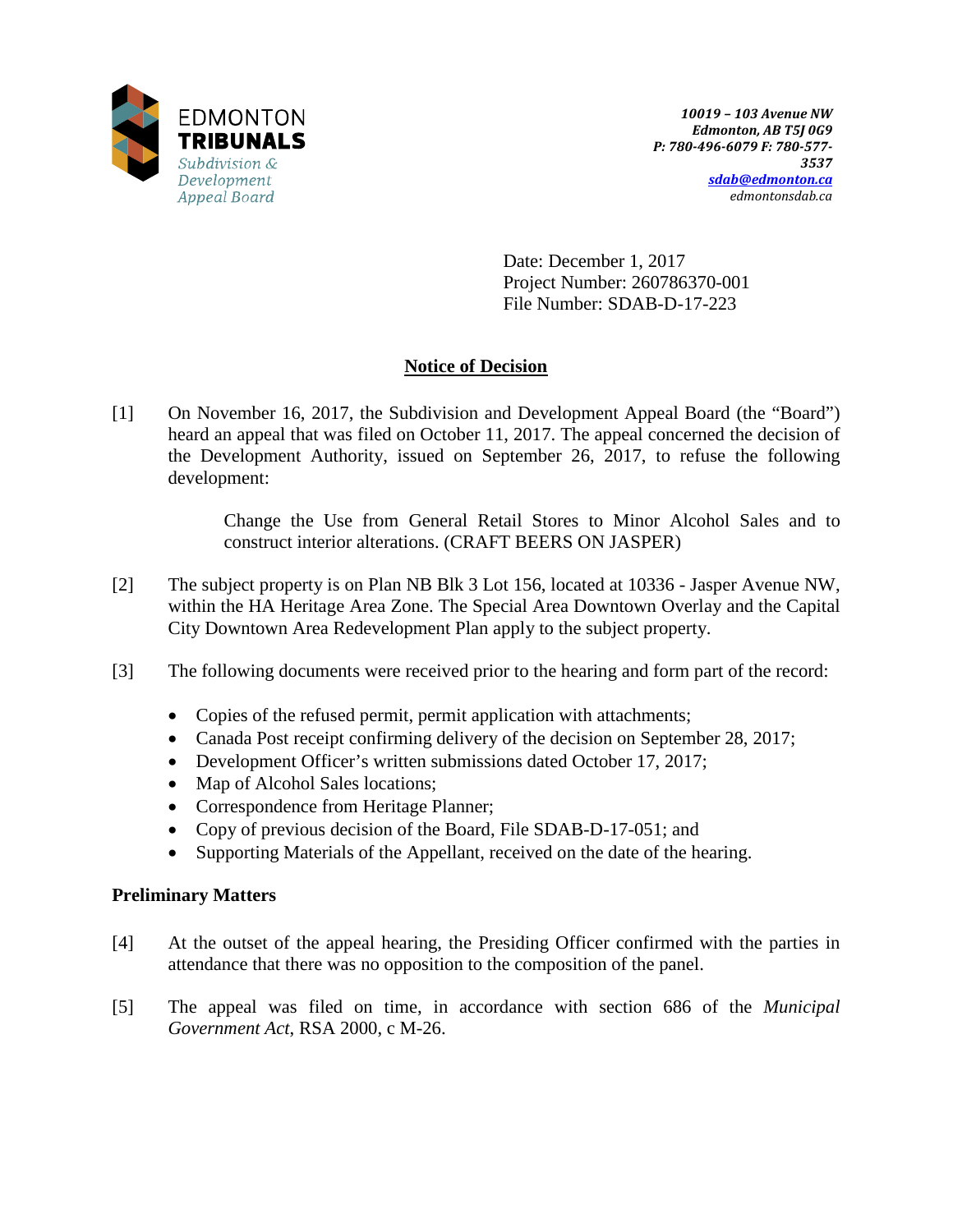

Date: December 1, 2017 Project Number: 260786370-001 File Number: SDAB-D-17-223

# **Notice of Decision**

[1] On November 16, 2017, the Subdivision and Development Appeal Board (the "Board") heard an appeal that was filed on October 11, 2017. The appeal concerned the decision of the Development Authority, issued on September 26, 2017, to refuse the following development:

> Change the Use from General Retail Stores to Minor Alcohol Sales and to construct interior alterations. (CRAFT BEERS ON JASPER)

- [2] The subject property is on Plan NB Blk 3 Lot 156, located at 10336 Jasper Avenue NW, within the HA Heritage Area Zone. The Special Area Downtown Overlay and the Capital City Downtown Area Redevelopment Plan apply to the subject property.
- [3] The following documents were received prior to the hearing and form part of the record:
	- Copies of the refused permit, permit application with attachments;
	- Canada Post receipt confirming delivery of the decision on September 28, 2017;
	- Development Officer's written submissions dated October 17, 2017;
	- Map of Alcohol Sales locations;
	- Correspondence from Heritage Planner;
	- Copy of previous decision of the Board, File SDAB-D-17-051; and
	- Supporting Materials of the Appellant, received on the date of the hearing.

# **Preliminary Matters**

- [4] At the outset of the appeal hearing, the Presiding Officer confirmed with the parties in attendance that there was no opposition to the composition of the panel.
- [5] The appeal was filed on time, in accordance with section 686 of the *Municipal Government Act*, RSA 2000, c M-26.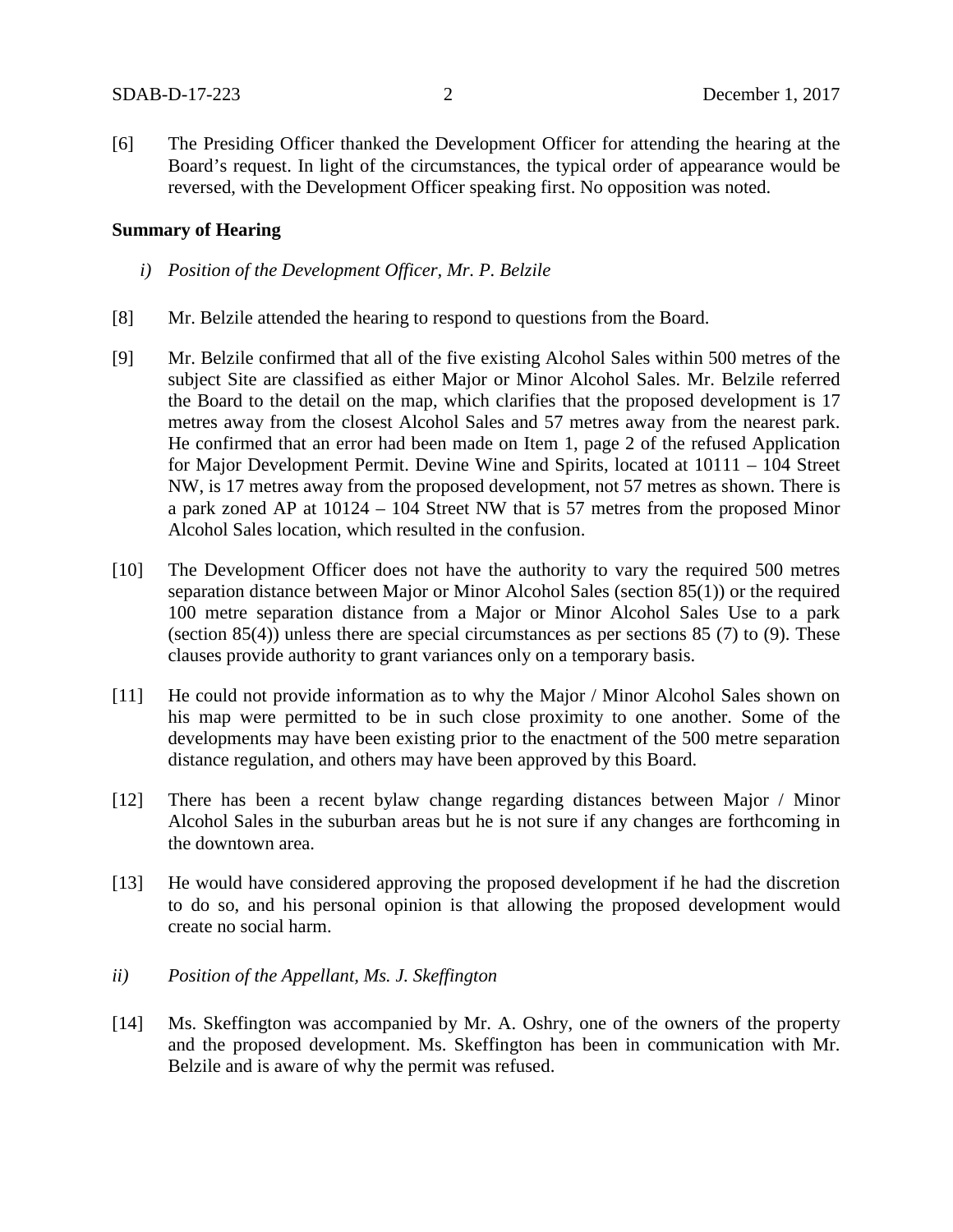[6] The Presiding Officer thanked the Development Officer for attending the hearing at the Board's request. In light of the circumstances, the typical order of appearance would be reversed, with the Development Officer speaking first. No opposition was noted.

## **Summary of Hearing**

- *i) Position of the Development Officer, Mr. P. Belzile*
- [8] Mr. Belzile attended the hearing to respond to questions from the Board.
- [9] Mr. Belzile confirmed that all of the five existing Alcohol Sales within 500 metres of the subject Site are classified as either Major or Minor Alcohol Sales. Mr. Belzile referred the Board to the detail on the map, which clarifies that the proposed development is 17 metres away from the closest Alcohol Sales and 57 metres away from the nearest park. He confirmed that an error had been made on Item 1, page 2 of the refused Application for Major Development Permit. Devine Wine and Spirits, located at 10111 – 104 Street NW, is 17 metres away from the proposed development, not 57 metres as shown. There is a park zoned AP at 10124 – 104 Street NW that is 57 metres from the proposed Minor Alcohol Sales location, which resulted in the confusion.
- [10] The Development Officer does not have the authority to vary the required 500 metres separation distance between Major or Minor Alcohol Sales (section 85(1)) or the required 100 metre separation distance from a Major or Minor Alcohol Sales Use to a park (section 85(4)) unless there are special circumstances as per sections 85 (7) to (9). These clauses provide authority to grant variances only on a temporary basis.
- [11] He could not provide information as to why the Major / Minor Alcohol Sales shown on his map were permitted to be in such close proximity to one another. Some of the developments may have been existing prior to the enactment of the 500 metre separation distance regulation, and others may have been approved by this Board.
- [12] There has been a recent bylaw change regarding distances between Major / Minor Alcohol Sales in the suburban areas but he is not sure if any changes are forthcoming in the downtown area.
- [13] He would have considered approving the proposed development if he had the discretion to do so, and his personal opinion is that allowing the proposed development would create no social harm.
- *ii) Position of the Appellant, Ms. J. Skeffington*
- [14] Ms. Skeffington was accompanied by Mr. A. Oshry, one of the owners of the property and the proposed development. Ms. Skeffington has been in communication with Mr. Belzile and is aware of why the permit was refused.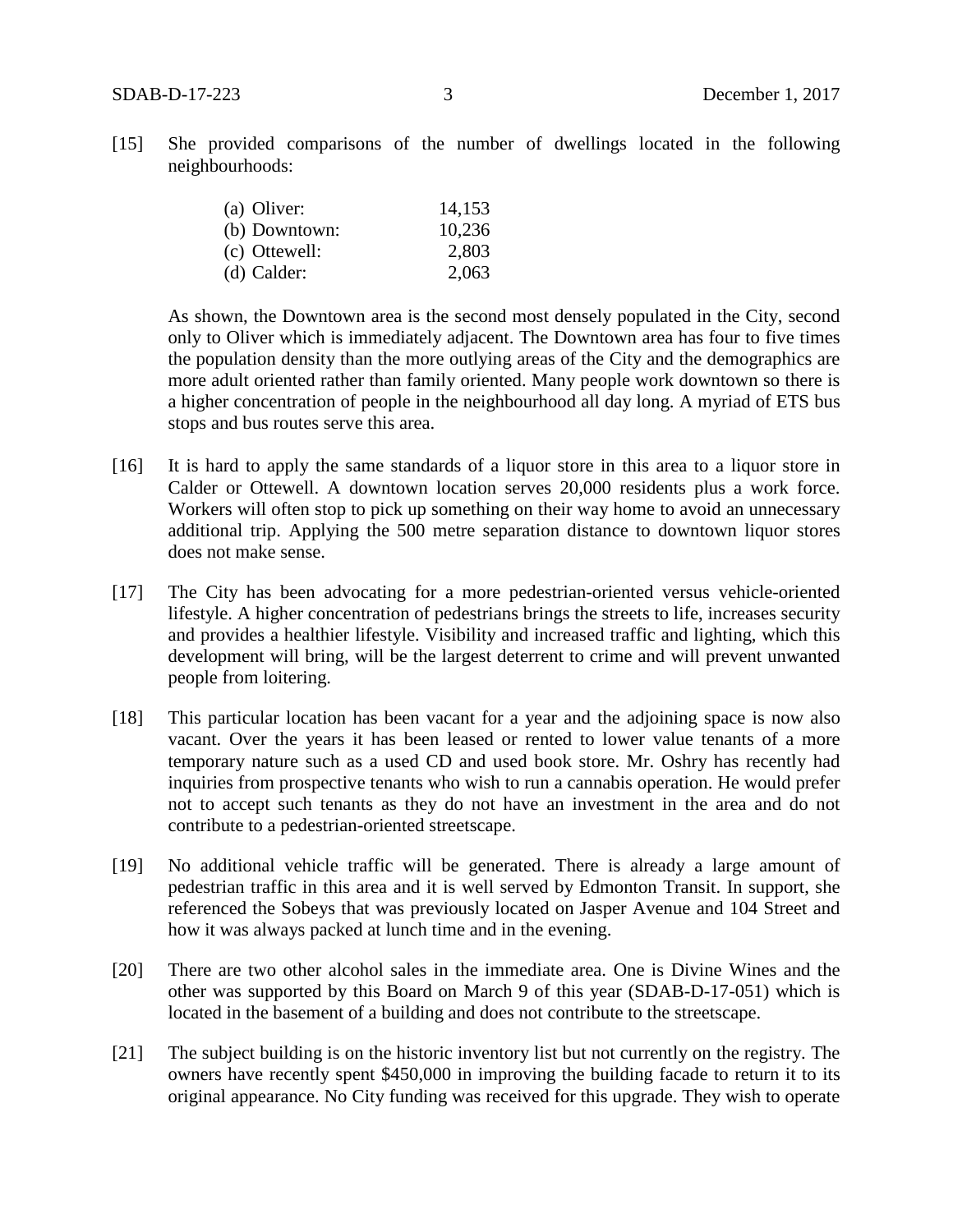[15] She provided comparisons of the number of dwellings located in the following neighbourhoods:

| (a) Oliver:   | 14,153 |
|---------------|--------|
| (b) Downtown: | 10,236 |
| (c) Ottewell: | 2,803  |
| (d) Calder:   | 2,063  |

As shown, the Downtown area is the second most densely populated in the City, second only to Oliver which is immediately adjacent. The Downtown area has four to five times the population density than the more outlying areas of the City and the demographics are more adult oriented rather than family oriented. Many people work downtown so there is a higher concentration of people in the neighbourhood all day long. A myriad of ETS bus stops and bus routes serve this area.

- [16] It is hard to apply the same standards of a liquor store in this area to a liquor store in Calder or Ottewell. A downtown location serves 20,000 residents plus a work force. Workers will often stop to pick up something on their way home to avoid an unnecessary additional trip. Applying the 500 metre separation distance to downtown liquor stores does not make sense.
- [17] The City has been advocating for a more pedestrian-oriented versus vehicle-oriented lifestyle. A higher concentration of pedestrians brings the streets to life, increases security and provides a healthier lifestyle. Visibility and increased traffic and lighting, which this development will bring, will be the largest deterrent to crime and will prevent unwanted people from loitering.
- [18] This particular location has been vacant for a year and the adjoining space is now also vacant. Over the years it has been leased or rented to lower value tenants of a more temporary nature such as a used CD and used book store. Mr. Oshry has recently had inquiries from prospective tenants who wish to run a cannabis operation. He would prefer not to accept such tenants as they do not have an investment in the area and do not contribute to a pedestrian-oriented streetscape.
- [19] No additional vehicle traffic will be generated. There is already a large amount of pedestrian traffic in this area and it is well served by Edmonton Transit. In support, she referenced the Sobeys that was previously located on Jasper Avenue and 104 Street and how it was always packed at lunch time and in the evening.
- [20] There are two other alcohol sales in the immediate area. One is Divine Wines and the other was supported by this Board on March 9 of this year (SDAB-D-17-051) which is located in the basement of a building and does not contribute to the streetscape.
- [21] The subject building is on the historic inventory list but not currently on the registry. The owners have recently spent \$450,000 in improving the building facade to return it to its original appearance. No City funding was received for this upgrade. They wish to operate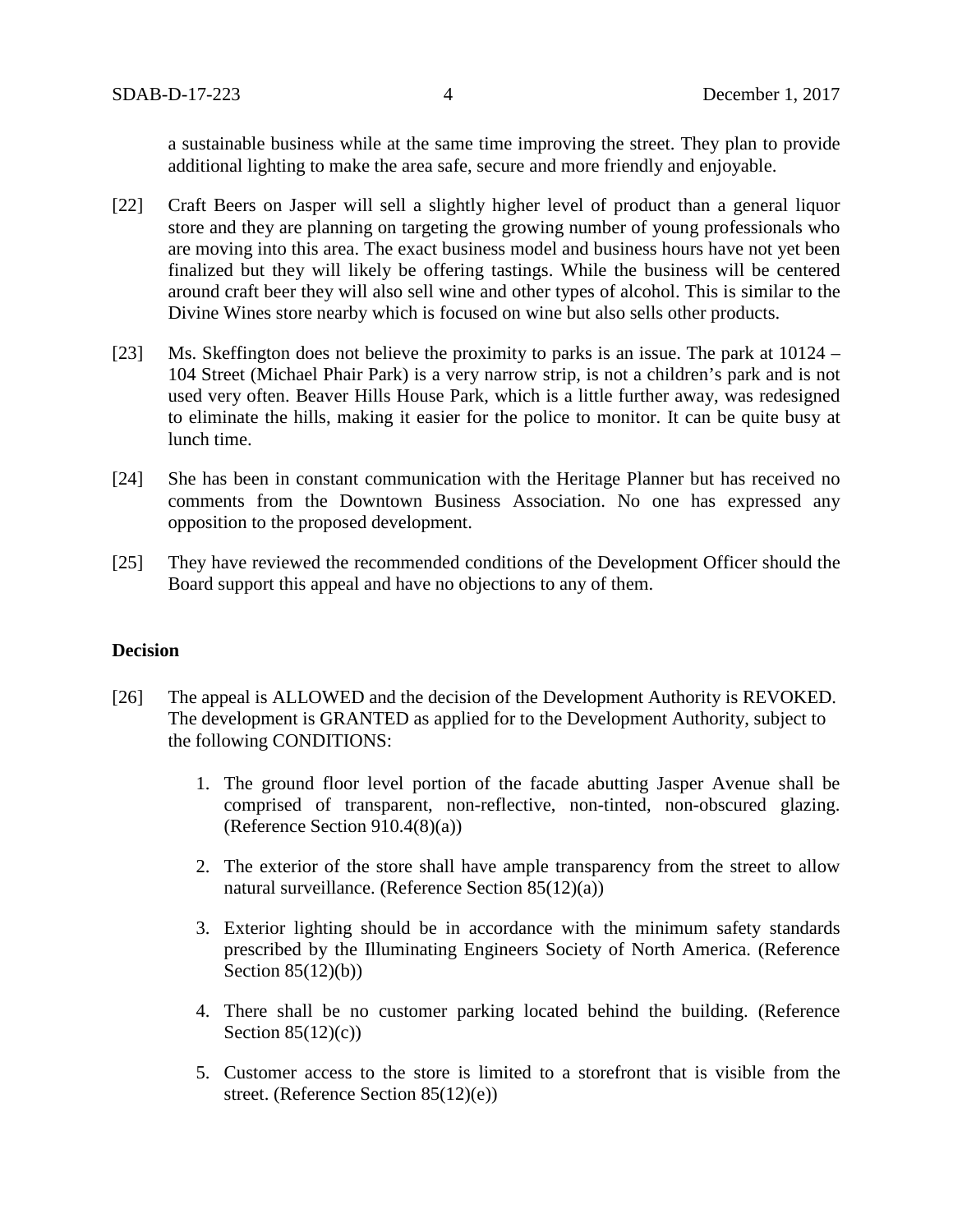a sustainable business while at the same time improving the street. They plan to provide additional lighting to make the area safe, secure and more friendly and enjoyable.

- [22] Craft Beers on Jasper will sell a slightly higher level of product than a general liquor store and they are planning on targeting the growing number of young professionals who are moving into this area. The exact business model and business hours have not yet been finalized but they will likely be offering tastings. While the business will be centered around craft beer they will also sell wine and other types of alcohol. This is similar to the Divine Wines store nearby which is focused on wine but also sells other products.
- [23] Ms. Skeffington does not believe the proximity to parks is an issue. The park at 10124 104 Street (Michael Phair Park) is a very narrow strip, is not a children's park and is not used very often. Beaver Hills House Park, which is a little further away, was redesigned to eliminate the hills, making it easier for the police to monitor. It can be quite busy at lunch time.
- [24] She has been in constant communication with the Heritage Planner but has received no comments from the Downtown Business Association. No one has expressed any opposition to the proposed development.
- [25] They have reviewed the recommended conditions of the Development Officer should the Board support this appeal and have no objections to any of them.

# **Decision**

- [26] The appeal is ALLOWED and the decision of the Development Authority is REVOKED. The development is GRANTED as applied for to the Development Authority, subject to the following CONDITIONS:
	- 1. The ground floor level portion of the facade abutting Jasper Avenue shall be comprised of transparent, non-reflective, non-tinted, non-obscured glazing. (Reference Section 910.4(8)(a))
	- 2. The exterior of the store shall have ample transparency from the street to allow natural surveillance. (Reference Section 85(12)(a))
	- 3. Exterior lighting should be in accordance with the minimum safety standards prescribed by the Illuminating Engineers Society of North America. (Reference Section  $85(12)(b)$ )
	- 4. There shall be no customer parking located behind the building. (Reference Section  $85(12)(c)$
	- 5. Customer access to the store is limited to a storefront that is visible from the street. (Reference Section 85(12)(e))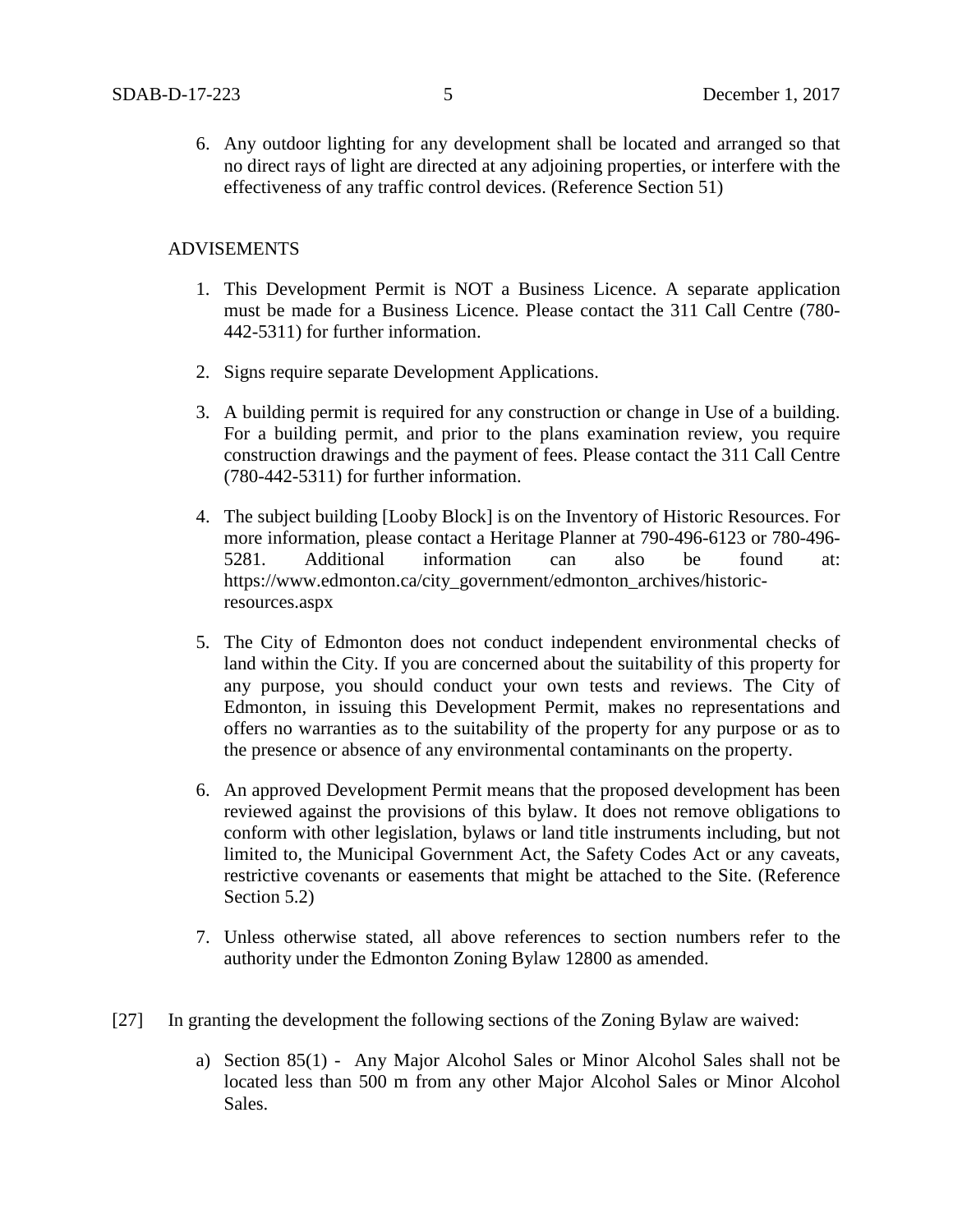6. Any outdoor lighting for any development shall be located and arranged so that no direct rays of light are directed at any adjoining properties, or interfere with the effectiveness of any traffic control devices. (Reference Section 51)

# ADVISEMENTS

- 1. This Development Permit is NOT a Business Licence. A separate application must be made for a Business Licence. Please contact the 311 Call Centre (780- 442-5311) for further information.
- 2. Signs require separate Development Applications.
- 3. A building permit is required for any construction or change in Use of a building. For a building permit, and prior to the plans examination review, you require construction drawings and the payment of fees. Please contact the 311 Call Centre (780-442-5311) for further information.
- 4. The subject building [Looby Block] is on the Inventory of Historic Resources. For more information, please contact a Heritage Planner at 790-496-6123 or 780-496- 5281. Additional information can also be found at: https://www.edmonton.ca/city\_government/edmonton\_archives/historicresources.aspx
- 5. The City of Edmonton does not conduct independent environmental checks of land within the City. If you are concerned about the suitability of this property for any purpose, you should conduct your own tests and reviews. The City of Edmonton, in issuing this Development Permit, makes no representations and offers no warranties as to the suitability of the property for any purpose or as to the presence or absence of any environmental contaminants on the property.
- 6. An approved Development Permit means that the proposed development has been reviewed against the provisions of this bylaw. It does not remove obligations to conform with other legislation, bylaws or land title instruments including, but not limited to, the Municipal Government Act, the Safety Codes Act or any caveats, restrictive covenants or easements that might be attached to the Site. (Reference Section 5.2)
- 7. Unless otherwise stated, all above references to section numbers refer to the authority under the Edmonton Zoning Bylaw 12800 as amended.
- [27] In granting the development the following sections of the Zoning Bylaw are waived:
	- a) Section 85(1) Any Major Alcohol Sales or Minor Alcohol Sales shall not be located less than 500 m from any other Major Alcohol Sales or Minor Alcohol Sales.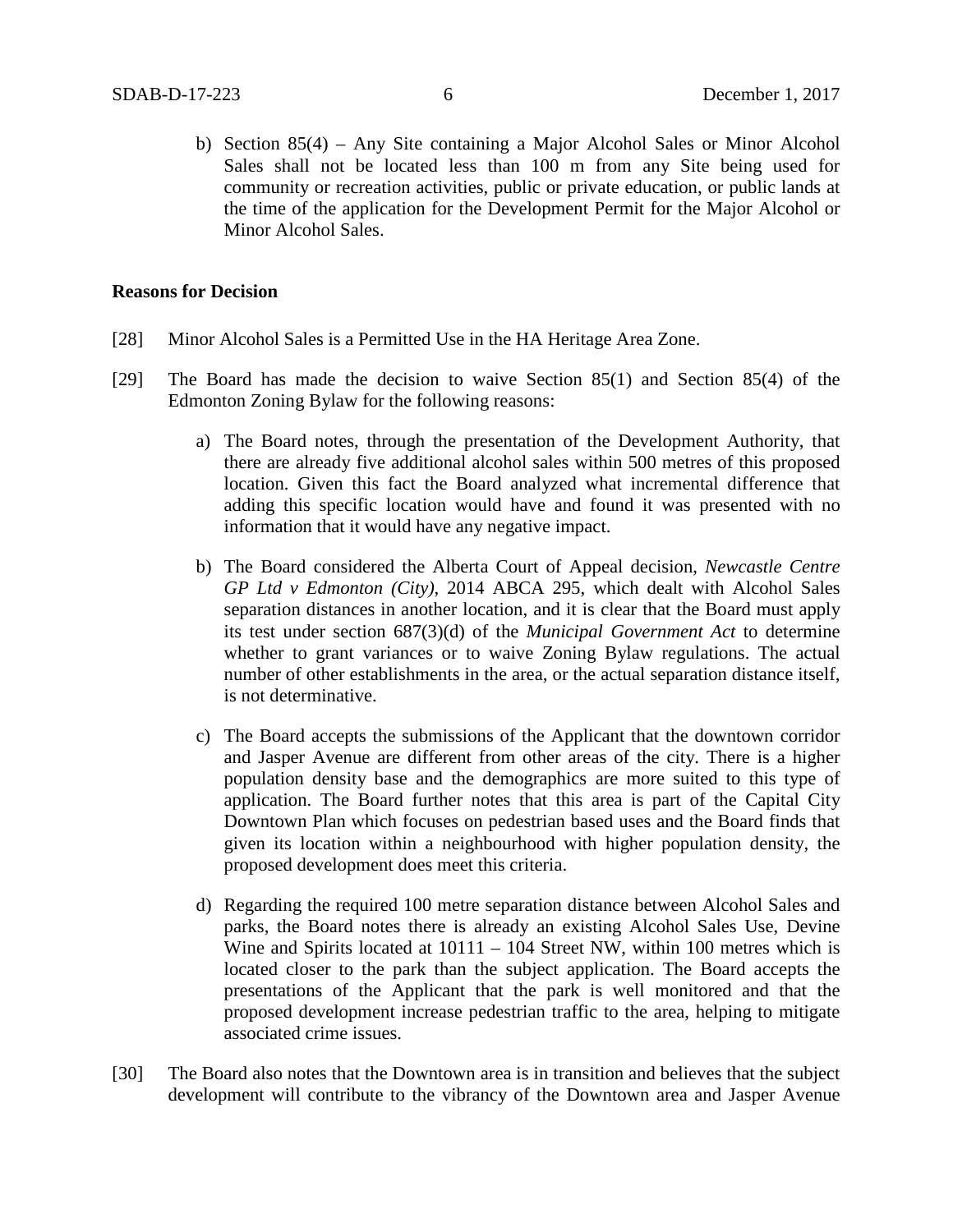b) Section 85(4) – Any Site containing a Major Alcohol Sales or Minor Alcohol Sales shall not be located less than 100 m from any Site being used for community or recreation activities, public or private education, or public lands at the time of the application for the Development Permit for the Major Alcohol or Minor Alcohol Sales.

## **Reasons for Decision**

- [28] Minor Alcohol Sales is a Permitted Use in the HA Heritage Area Zone.
- [29] The Board has made the decision to waive Section 85(1) and Section 85(4) of the Edmonton Zoning Bylaw for the following reasons:
	- a) The Board notes, through the presentation of the Development Authority, that there are already five additional alcohol sales within 500 metres of this proposed location. Given this fact the Board analyzed what incremental difference that adding this specific location would have and found it was presented with no information that it would have any negative impact.
	- b) The Board considered the Alberta Court of Appeal decision, *Newcastle Centre GP Ltd v Edmonton (City)*, 2014 ABCA 295, which dealt with Alcohol Sales separation distances in another location, and it is clear that the Board must apply its test under section 687(3)(d) of the *Municipal Government Act* to determine whether to grant variances or to waive Zoning Bylaw regulations. The actual number of other establishments in the area, or the actual separation distance itself, is not determinative.
	- c) The Board accepts the submissions of the Applicant that the downtown corridor and Jasper Avenue are different from other areas of the city. There is a higher population density base and the demographics are more suited to this type of application. The Board further notes that this area is part of the Capital City Downtown Plan which focuses on pedestrian based uses and the Board finds that given its location within a neighbourhood with higher population density, the proposed development does meet this criteria.
	- d) Regarding the required 100 metre separation distance between Alcohol Sales and parks, the Board notes there is already an existing Alcohol Sales Use, Devine Wine and Spirits located at  $10111 - 104$  Street NW, within 100 metres which is located closer to the park than the subject application. The Board accepts the presentations of the Applicant that the park is well monitored and that the proposed development increase pedestrian traffic to the area, helping to mitigate associated crime issues.
- [30] The Board also notes that the Downtown area is in transition and believes that the subject development will contribute to the vibrancy of the Downtown area and Jasper Avenue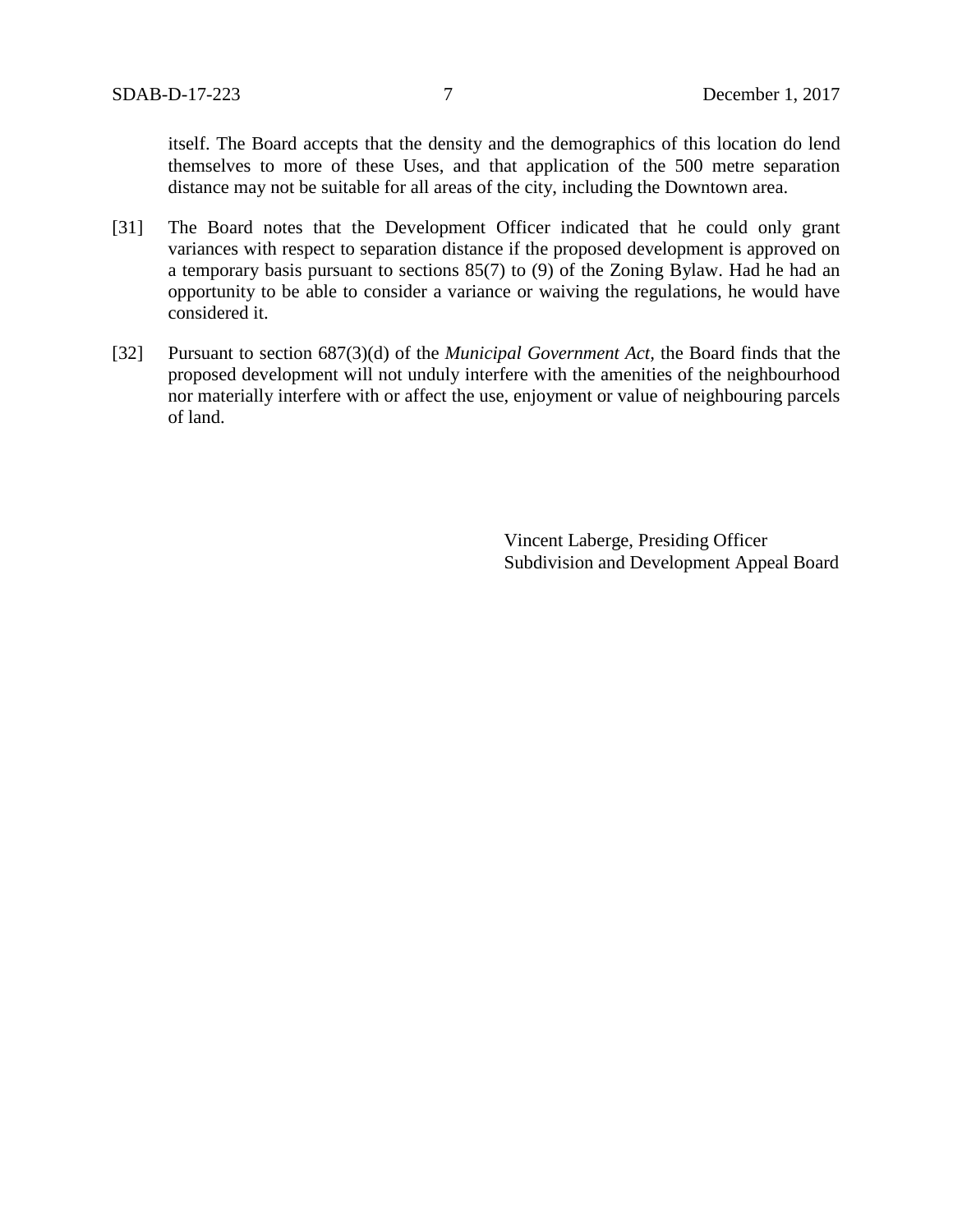itself. The Board accepts that the density and the demographics of this location do lend themselves to more of these Uses, and that application of the 500 metre separation distance may not be suitable for all areas of the city, including the Downtown area.

- [31] The Board notes that the Development Officer indicated that he could only grant variances with respect to separation distance if the proposed development is approved on a temporary basis pursuant to sections 85(7) to (9) of the Zoning Bylaw. Had he had an opportunity to be able to consider a variance or waiving the regulations, he would have considered it.
- [32] Pursuant to section 687(3)(d) of the *Municipal Government Act,* the Board finds that the proposed development will not unduly interfere with the amenities of the neighbourhood nor materially interfere with or affect the use, enjoyment or value of neighbouring parcels of land.

Vincent Laberge, Presiding Officer Subdivision and Development Appeal Board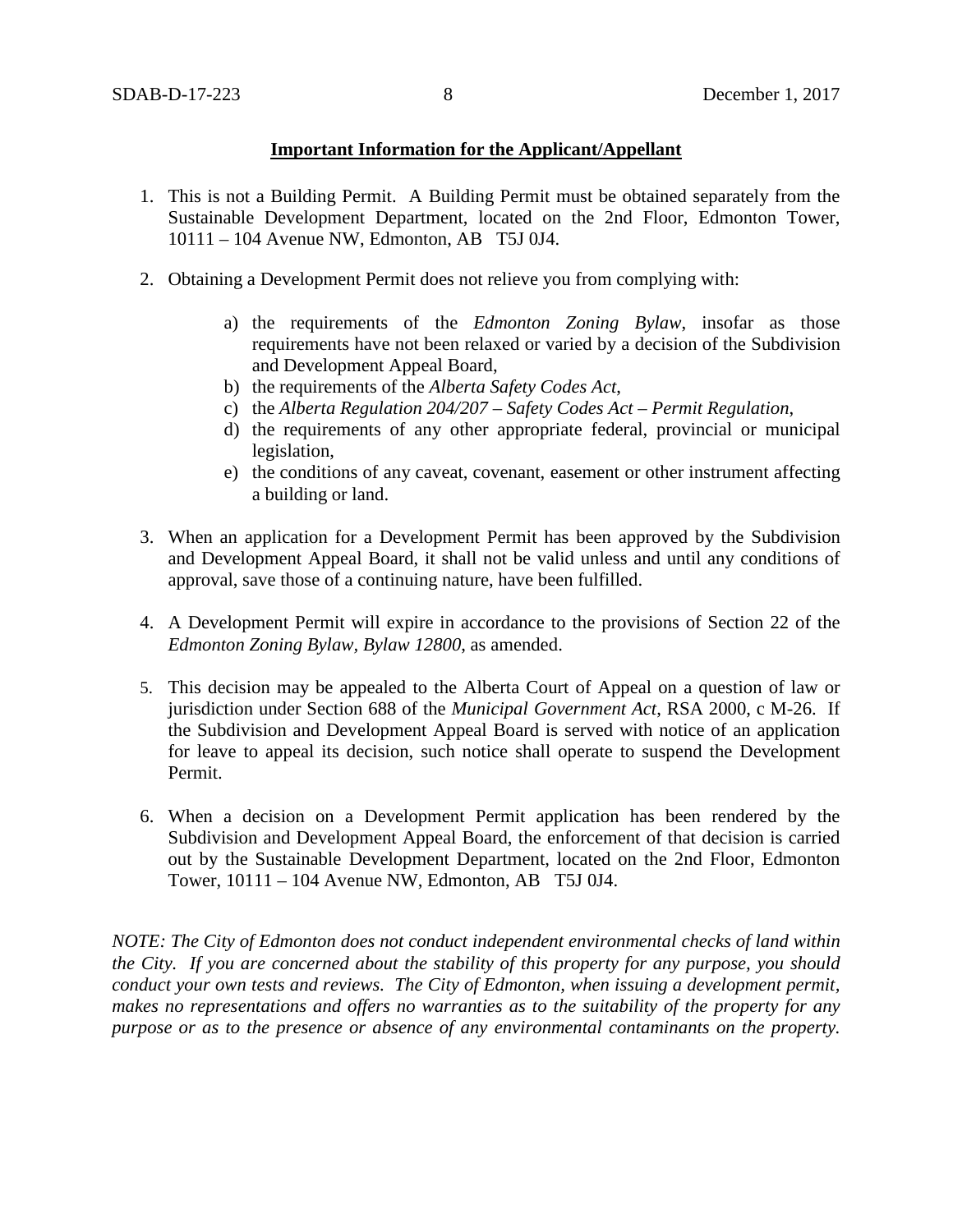# **Important Information for the Applicant/Appellant**

- 1. This is not a Building Permit. A Building Permit must be obtained separately from the Sustainable Development Department, located on the 2nd Floor, Edmonton Tower, 10111 – 104 Avenue NW, Edmonton, AB T5J 0J4.
- 2. Obtaining a Development Permit does not relieve you from complying with:
	- a) the requirements of the *Edmonton Zoning Bylaw*, insofar as those requirements have not been relaxed or varied by a decision of the Subdivision and Development Appeal Board,
	- b) the requirements of the *Alberta Safety Codes Act*,
	- c) the *Alberta Regulation 204/207 – Safety Codes Act – Permit Regulation*,
	- d) the requirements of any other appropriate federal, provincial or municipal legislation,
	- e) the conditions of any caveat, covenant, easement or other instrument affecting a building or land.
- 3. When an application for a Development Permit has been approved by the Subdivision and Development Appeal Board, it shall not be valid unless and until any conditions of approval, save those of a continuing nature, have been fulfilled.
- 4. A Development Permit will expire in accordance to the provisions of Section 22 of the *Edmonton Zoning Bylaw, Bylaw 12800*, as amended.
- 5. This decision may be appealed to the Alberta Court of Appeal on a question of law or jurisdiction under Section 688 of the *Municipal Government Act*, RSA 2000, c M-26. If the Subdivision and Development Appeal Board is served with notice of an application for leave to appeal its decision, such notice shall operate to suspend the Development Permit.
- 6. When a decision on a Development Permit application has been rendered by the Subdivision and Development Appeal Board, the enforcement of that decision is carried out by the Sustainable Development Department, located on the 2nd Floor, Edmonton Tower, 10111 – 104 Avenue NW, Edmonton, AB T5J 0J4.

*NOTE: The City of Edmonton does not conduct independent environmental checks of land within the City. If you are concerned about the stability of this property for any purpose, you should conduct your own tests and reviews. The City of Edmonton, when issuing a development permit, makes no representations and offers no warranties as to the suitability of the property for any purpose or as to the presence or absence of any environmental contaminants on the property.*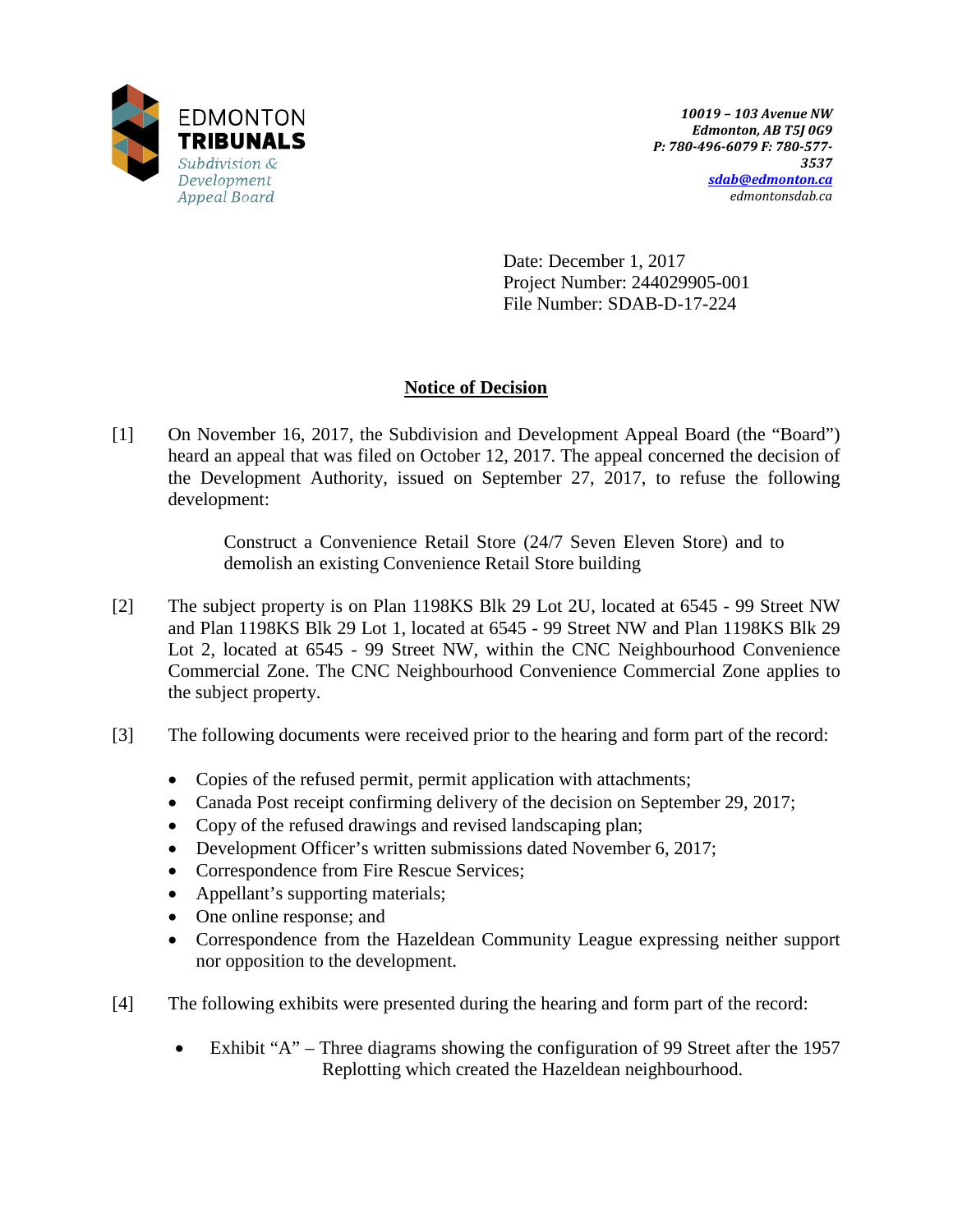

Date: December 1, 2017 Project Number: 244029905-001 File Number: SDAB-D-17-224

# **Notice of Decision**

[1] On November 16, 2017, the Subdivision and Development Appeal Board (the "Board") heard an appeal that was filed on October 12, 2017. The appeal concerned the decision of the Development Authority, issued on September 27, 2017, to refuse the following development:

> Construct a Convenience Retail Store (24/7 Seven Eleven Store) and to demolish an existing Convenience Retail Store building

- [2] The subject property is on Plan 1198KS Blk 29 Lot 2U, located at 6545 99 Street NW and Plan 1198KS Blk 29 Lot 1, located at 6545 - 99 Street NW and Plan 1198KS Blk 29 Lot 2, located at 6545 - 99 Street NW, within the CNC Neighbourhood Convenience Commercial Zone. The CNC Neighbourhood Convenience Commercial Zone applies to the subject property.
- [3] The following documents were received prior to the hearing and form part of the record:
	- Copies of the refused permit, permit application with attachments;
	- Canada Post receipt confirming delivery of the decision on September 29, 2017;
	- Copy of the refused drawings and revised landscaping plan;
	- Development Officer's written submissions dated November 6, 2017;
	- Correspondence from Fire Rescue Services;
	- Appellant's supporting materials;
	- One online response; and
	- Correspondence from the Hazeldean Community League expressing neither support nor opposition to the development.
- [4] The following exhibits were presented during the hearing and form part of the record:
	- Exhibit "A" Three diagrams showing the configuration of 99 Street after the 1957 Replotting which created the Hazeldean neighbourhood.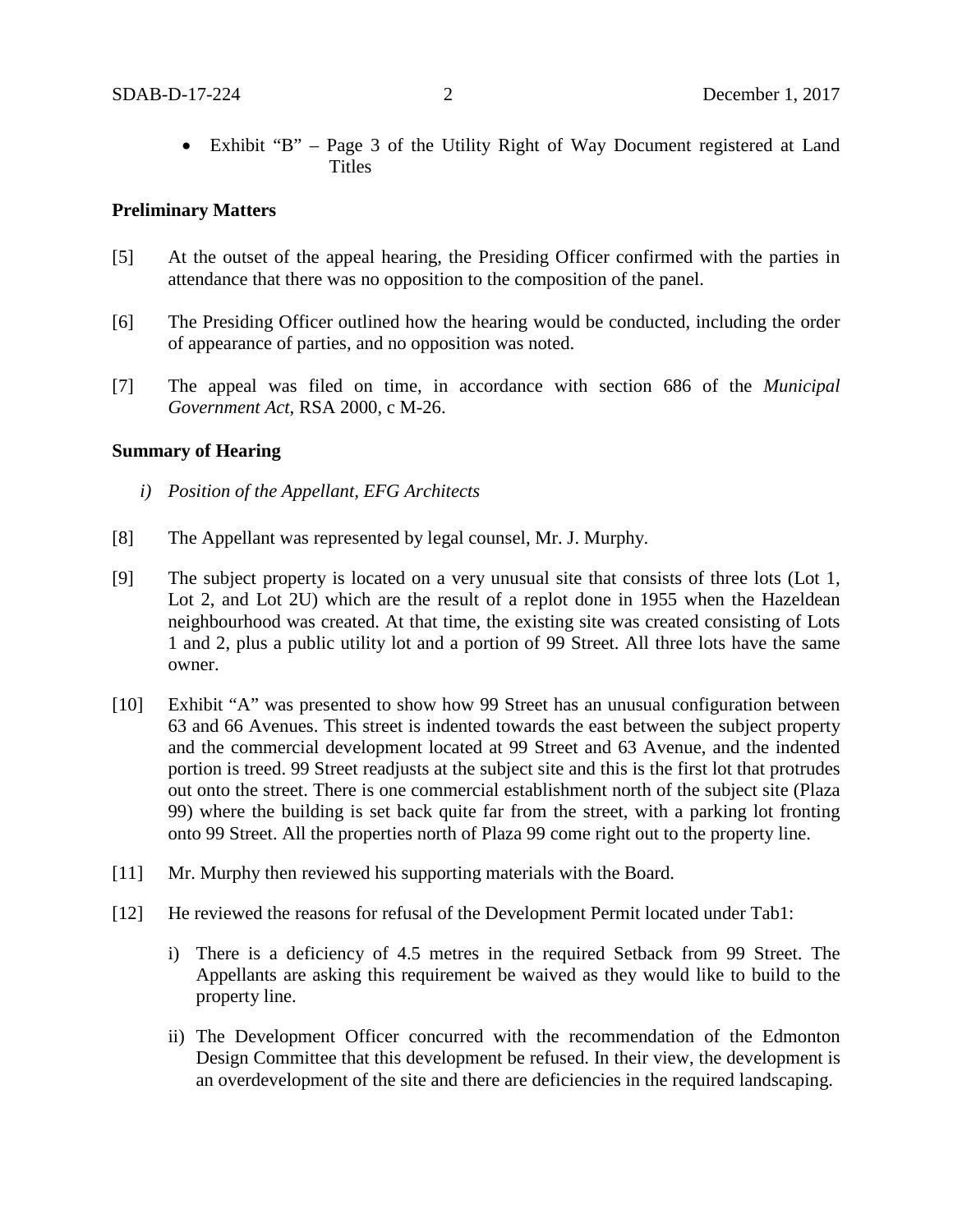• Exhibit "B" – Page 3 of the Utility Right of Way Document registered at Land **Titles** 

## **Preliminary Matters**

- [5] At the outset of the appeal hearing, the Presiding Officer confirmed with the parties in attendance that there was no opposition to the composition of the panel.
- [6] The Presiding Officer outlined how the hearing would be conducted, including the order of appearance of parties, and no opposition was noted.
- [7] The appeal was filed on time, in accordance with section 686 of the *Municipal Government Act*, RSA 2000, c M-26.

### **Summary of Hearing**

- *i) Position of the Appellant, EFG Architects*
- [8] The Appellant was represented by legal counsel, Mr. J. Murphy.
- [9] The subject property is located on a very unusual site that consists of three lots (Lot 1, Lot 2, and Lot 2U) which are the result of a replot done in 1955 when the Hazeldean neighbourhood was created. At that time, the existing site was created consisting of Lots 1 and 2, plus a public utility lot and a portion of 99 Street. All three lots have the same owner.
- [10] Exhibit "A" was presented to show how 99 Street has an unusual configuration between 63 and 66 Avenues. This street is indented towards the east between the subject property and the commercial development located at 99 Street and 63 Avenue, and the indented portion is treed. 99 Street readjusts at the subject site and this is the first lot that protrudes out onto the street. There is one commercial establishment north of the subject site (Plaza 99) where the building is set back quite far from the street, with a parking lot fronting onto 99 Street. All the properties north of Plaza 99 come right out to the property line.
- [11] Mr. Murphy then reviewed his supporting materials with the Board.
- [12] He reviewed the reasons for refusal of the Development Permit located under Tab1:
	- i) There is a deficiency of 4.5 metres in the required Setback from 99 Street. The Appellants are asking this requirement be waived as they would like to build to the property line.
	- ii) The Development Officer concurred with the recommendation of the Edmonton Design Committee that this development be refused. In their view, the development is an overdevelopment of the site and there are deficiencies in the required landscaping.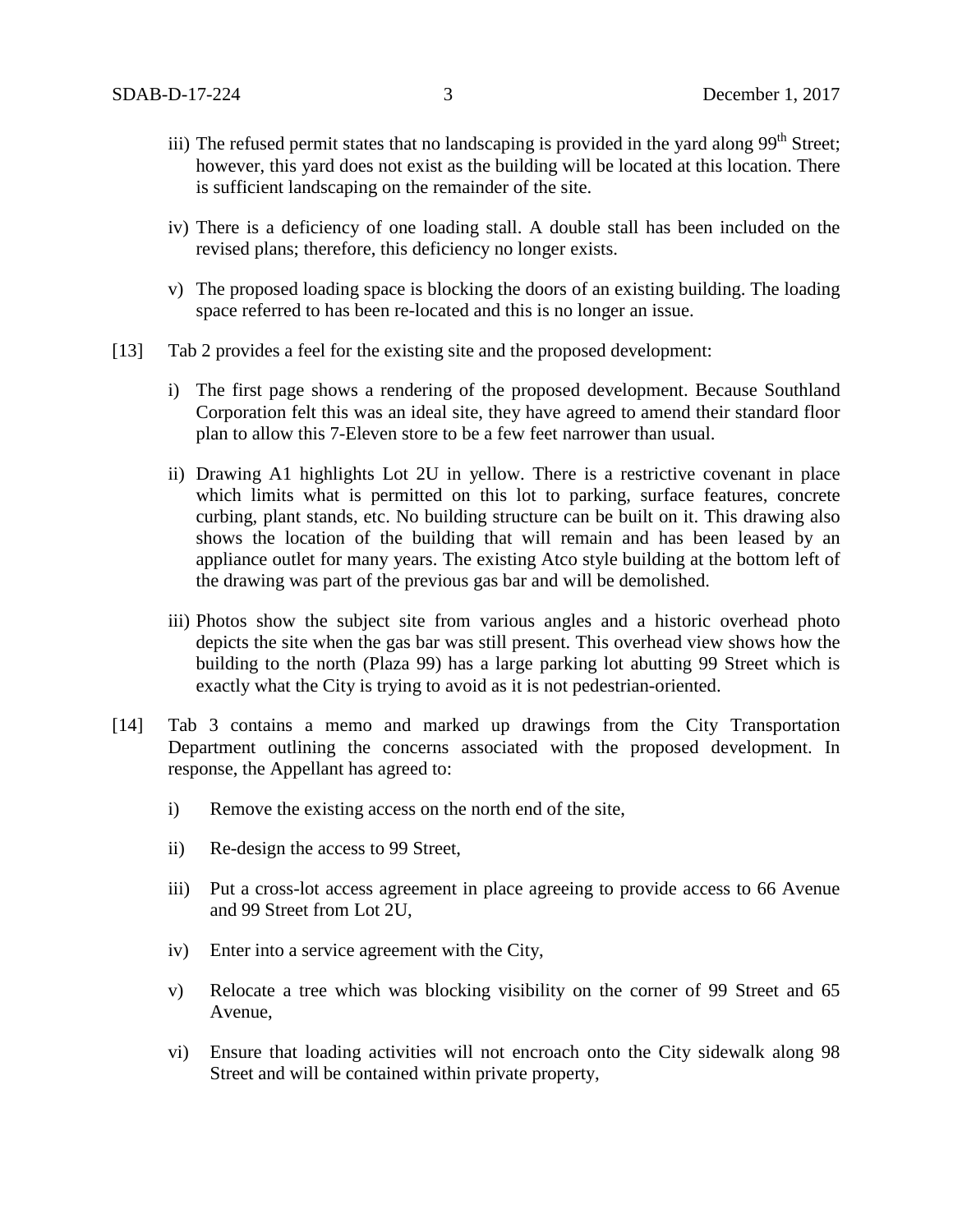- iii) The refused permit states that no landscaping is provided in the yard along 99<sup>th</sup> Street; however, this yard does not exist as the building will be located at this location. There is sufficient landscaping on the remainder of the site.
- iv) There is a deficiency of one loading stall. A double stall has been included on the revised plans; therefore, this deficiency no longer exists.
- v) The proposed loading space is blocking the doors of an existing building. The loading space referred to has been re-located and this is no longer an issue.
- [13] Tab 2 provides a feel for the existing site and the proposed development:
	- i) The first page shows a rendering of the proposed development. Because Southland Corporation felt this was an ideal site, they have agreed to amend their standard floor plan to allow this 7-Eleven store to be a few feet narrower than usual.
	- ii) Drawing A1 highlights Lot 2U in yellow. There is a restrictive covenant in place which limits what is permitted on this lot to parking, surface features, concrete curbing, plant stands, etc. No building structure can be built on it. This drawing also shows the location of the building that will remain and has been leased by an appliance outlet for many years. The existing Atco style building at the bottom left of the drawing was part of the previous gas bar and will be demolished.
	- iii) Photos show the subject site from various angles and a historic overhead photo depicts the site when the gas bar was still present. This overhead view shows how the building to the north (Plaza 99) has a large parking lot abutting 99 Street which is exactly what the City is trying to avoid as it is not pedestrian-oriented.
- [14] Tab 3 contains a memo and marked up drawings from the City Transportation Department outlining the concerns associated with the proposed development. In response, the Appellant has agreed to:
	- i) Remove the existing access on the north end of the site,
	- ii) Re-design the access to 99 Street,
	- iii) Put a cross-lot access agreement in place agreeing to provide access to 66 Avenue and 99 Street from Lot 2U,
	- iv) Enter into a service agreement with the City,
	- v) Relocate a tree which was blocking visibility on the corner of 99 Street and 65 Avenue,
	- vi) Ensure that loading activities will not encroach onto the City sidewalk along 98 Street and will be contained within private property,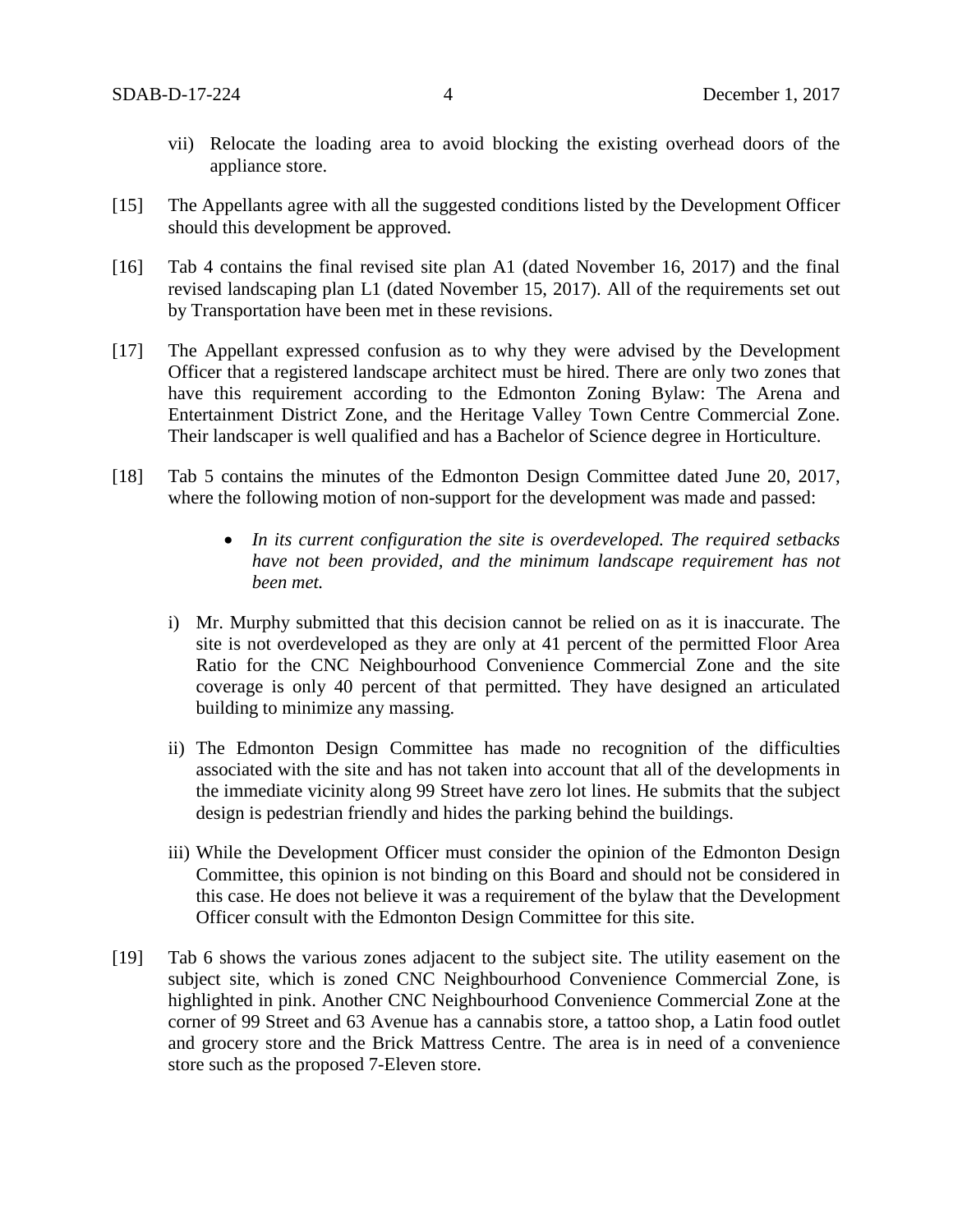- vii) Relocate the loading area to avoid blocking the existing overhead doors of the appliance store.
- [15] The Appellants agree with all the suggested conditions listed by the Development Officer should this development be approved.
- [16] Tab 4 contains the final revised site plan A1 (dated November 16, 2017) and the final revised landscaping plan L1 (dated November 15, 2017). All of the requirements set out by Transportation have been met in these revisions.
- [17] The Appellant expressed confusion as to why they were advised by the Development Officer that a registered landscape architect must be hired. There are only two zones that have this requirement according to the Edmonton Zoning Bylaw: The Arena and Entertainment District Zone, and the Heritage Valley Town Centre Commercial Zone. Their landscaper is well qualified and has a Bachelor of Science degree in Horticulture.
- [18] Tab 5 contains the minutes of the Edmonton Design Committee dated June 20, 2017, where the following motion of non-support for the development was made and passed:
	- *In its current configuration the site is overdeveloped. The required setbacks have not been provided, and the minimum landscape requirement has not been met.*
	- i) Mr. Murphy submitted that this decision cannot be relied on as it is inaccurate. The site is not overdeveloped as they are only at 41 percent of the permitted Floor Area Ratio for the CNC Neighbourhood Convenience Commercial Zone and the site coverage is only 40 percent of that permitted. They have designed an articulated building to minimize any massing.
	- ii) The Edmonton Design Committee has made no recognition of the difficulties associated with the site and has not taken into account that all of the developments in the immediate vicinity along 99 Street have zero lot lines. He submits that the subject design is pedestrian friendly and hides the parking behind the buildings.
	- iii) While the Development Officer must consider the opinion of the Edmonton Design Committee, this opinion is not binding on this Board and should not be considered in this case. He does not believe it was a requirement of the bylaw that the Development Officer consult with the Edmonton Design Committee for this site.
- [19] Tab 6 shows the various zones adjacent to the subject site. The utility easement on the subject site, which is zoned CNC Neighbourhood Convenience Commercial Zone, is highlighted in pink. Another CNC Neighbourhood Convenience Commercial Zone at the corner of 99 Street and 63 Avenue has a cannabis store, a tattoo shop, a Latin food outlet and grocery store and the Brick Mattress Centre. The area is in need of a convenience store such as the proposed 7-Eleven store.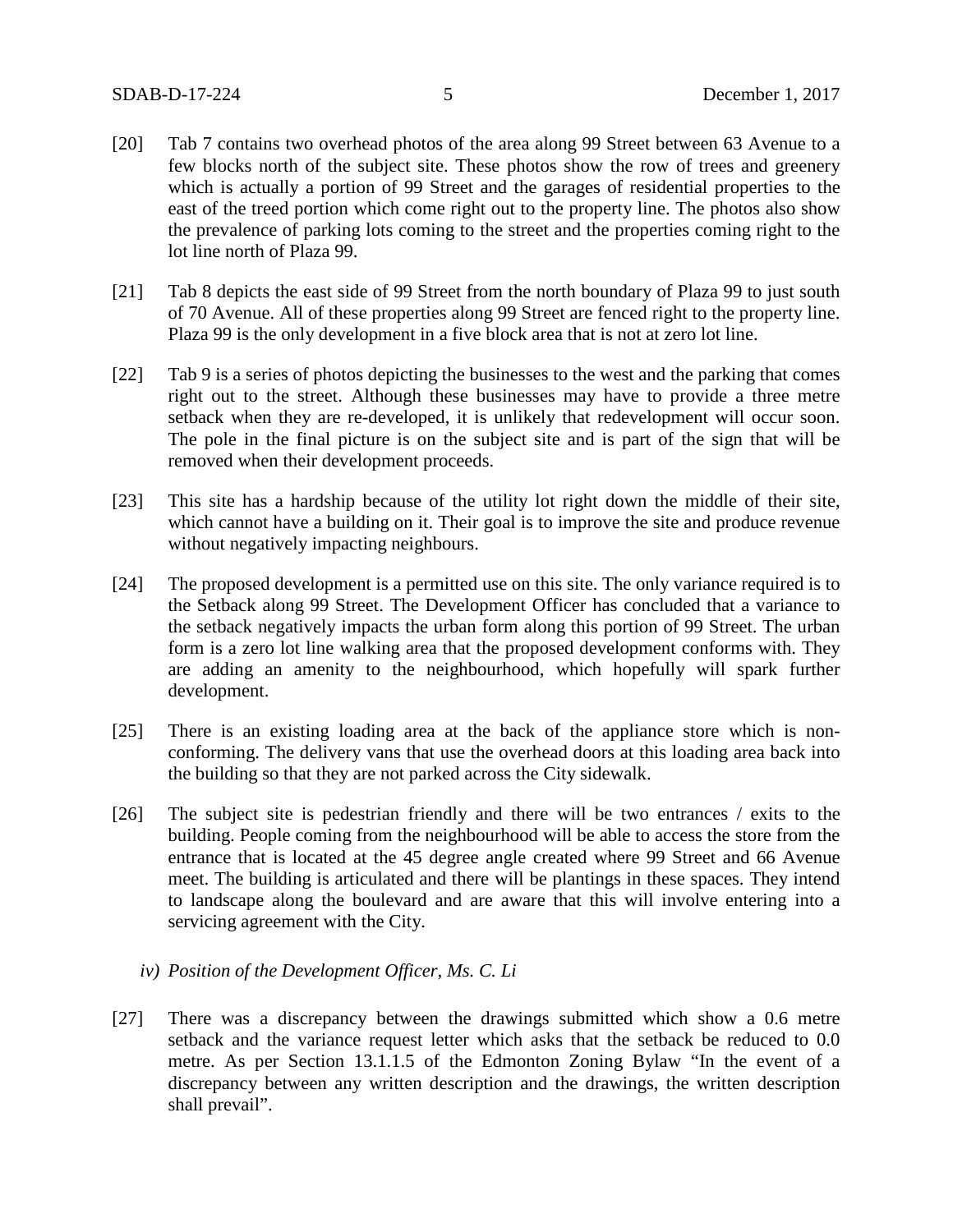- [20] Tab 7 contains two overhead photos of the area along 99 Street between 63 Avenue to a few blocks north of the subject site. These photos show the row of trees and greenery which is actually a portion of 99 Street and the garages of residential properties to the east of the treed portion which come right out to the property line. The photos also show the prevalence of parking lots coming to the street and the properties coming right to the lot line north of Plaza 99.
- [21] Tab 8 depicts the east side of 99 Street from the north boundary of Plaza 99 to just south of 70 Avenue. All of these properties along 99 Street are fenced right to the property line. Plaza 99 is the only development in a five block area that is not at zero lot line.
- [22] Tab 9 is a series of photos depicting the businesses to the west and the parking that comes right out to the street. Although these businesses may have to provide a three metre setback when they are re-developed, it is unlikely that redevelopment will occur soon. The pole in the final picture is on the subject site and is part of the sign that will be removed when their development proceeds.
- [23] This site has a hardship because of the utility lot right down the middle of their site, which cannot have a building on it. Their goal is to improve the site and produce revenue without negatively impacting neighbours.
- [24] The proposed development is a permitted use on this site. The only variance required is to the Setback along 99 Street. The Development Officer has concluded that a variance to the setback negatively impacts the urban form along this portion of 99 Street. The urban form is a zero lot line walking area that the proposed development conforms with. They are adding an amenity to the neighbourhood, which hopefully will spark further development.
- [25] There is an existing loading area at the back of the appliance store which is nonconforming. The delivery vans that use the overhead doors at this loading area back into the building so that they are not parked across the City sidewalk.
- [26] The subject site is pedestrian friendly and there will be two entrances / exits to the building. People coming from the neighbourhood will be able to access the store from the entrance that is located at the 45 degree angle created where 99 Street and 66 Avenue meet. The building is articulated and there will be plantings in these spaces. They intend to landscape along the boulevard and are aware that this will involve entering into a servicing agreement with the City.
	- *iv) Position of the Development Officer, Ms. C. Li*
- [27] There was a discrepancy between the drawings submitted which show a 0.6 metre setback and the variance request letter which asks that the setback be reduced to 0.0 metre. As per Section 13.1.1.5 of the Edmonton Zoning Bylaw "In the event of a discrepancy between any written description and the drawings, the written description shall prevail".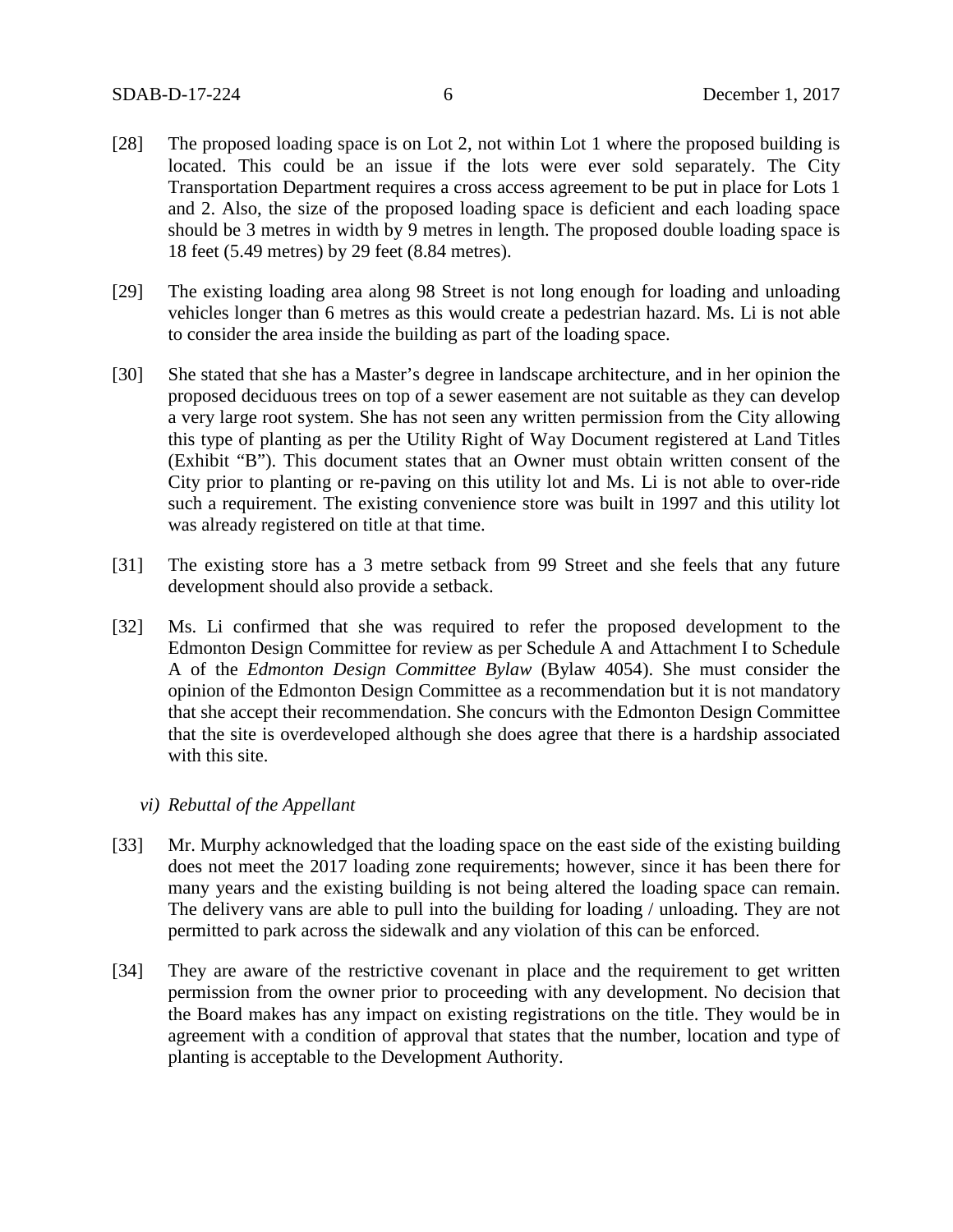- [28] The proposed loading space is on Lot 2, not within Lot 1 where the proposed building is located. This could be an issue if the lots were ever sold separately. The City Transportation Department requires a cross access agreement to be put in place for Lots 1 and 2. Also, the size of the proposed loading space is deficient and each loading space should be 3 metres in width by 9 metres in length. The proposed double loading space is 18 feet (5.49 metres) by 29 feet (8.84 metres).
- [29] The existing loading area along 98 Street is not long enough for loading and unloading vehicles longer than 6 metres as this would create a pedestrian hazard. Ms. Li is not able to consider the area inside the building as part of the loading space.
- [30] She stated that she has a Master's degree in landscape architecture, and in her opinion the proposed deciduous trees on top of a sewer easement are not suitable as they can develop a very large root system. She has not seen any written permission from the City allowing this type of planting as per the Utility Right of Way Document registered at Land Titles (Exhibit "B"). This document states that an Owner must obtain written consent of the City prior to planting or re-paving on this utility lot and Ms. Li is not able to over-ride such a requirement. The existing convenience store was built in 1997 and this utility lot was already registered on title at that time.
- [31] The existing store has a 3 metre setback from 99 Street and she feels that any future development should also provide a setback.
- [32] Ms. Li confirmed that she was required to refer the proposed development to the Edmonton Design Committee for review as per Schedule A and Attachment I to Schedule A of the *Edmonton Design Committee Bylaw* (Bylaw 4054). She must consider the opinion of the Edmonton Design Committee as a recommendation but it is not mandatory that she accept their recommendation. She concurs with the Edmonton Design Committee that the site is overdeveloped although she does agree that there is a hardship associated with this site.
	- *vi) Rebuttal of the Appellant*
- [33] Mr. Murphy acknowledged that the loading space on the east side of the existing building does not meet the 2017 loading zone requirements; however, since it has been there for many years and the existing building is not being altered the loading space can remain. The delivery vans are able to pull into the building for loading / unloading. They are not permitted to park across the sidewalk and any violation of this can be enforced.
- [34] They are aware of the restrictive covenant in place and the requirement to get written permission from the owner prior to proceeding with any development. No decision that the Board makes has any impact on existing registrations on the title. They would be in agreement with a condition of approval that states that the number, location and type of planting is acceptable to the Development Authority.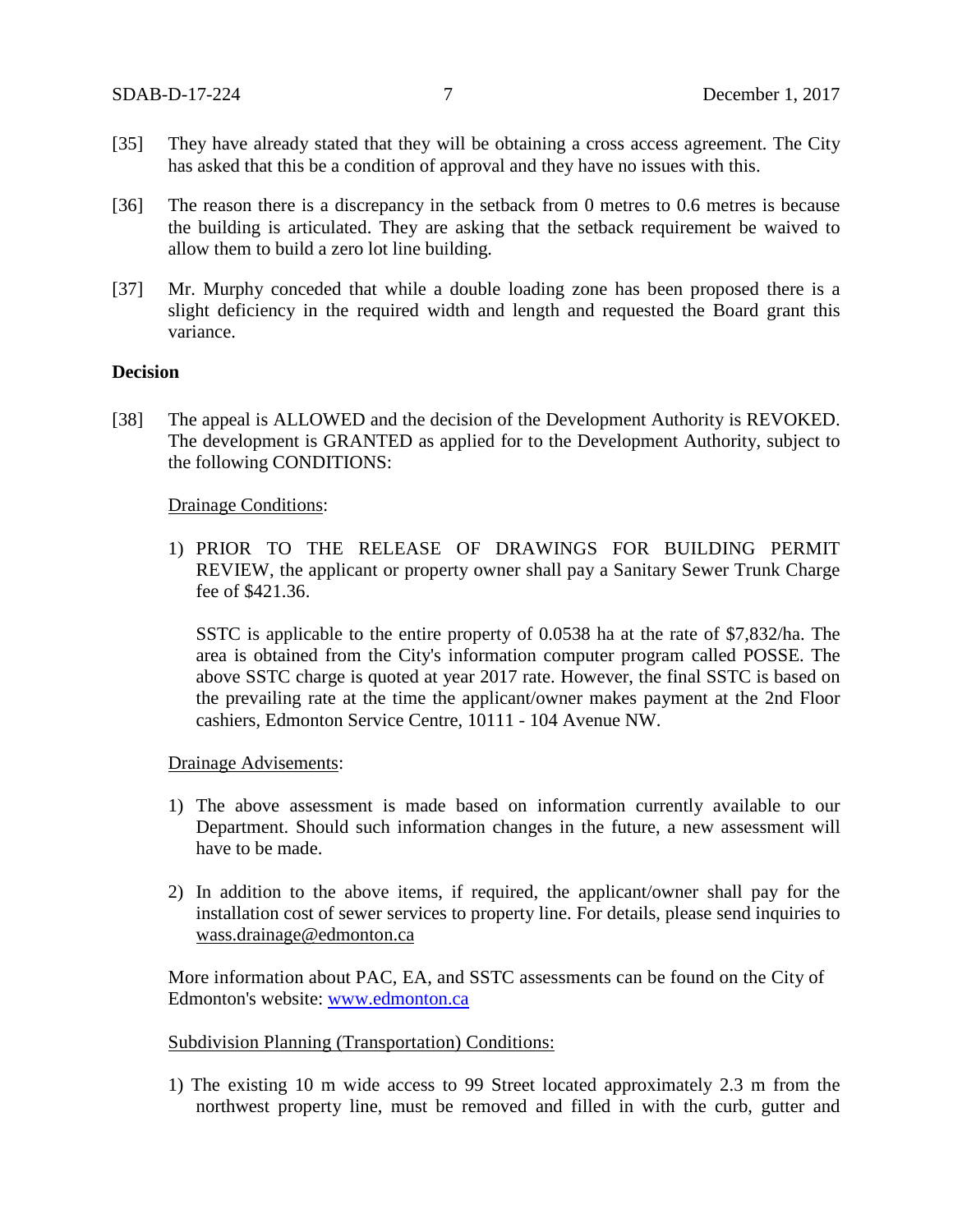- [35] They have already stated that they will be obtaining a cross access agreement. The City has asked that this be a condition of approval and they have no issues with this.
- [36] The reason there is a discrepancy in the setback from 0 metres to 0.6 metres is because the building is articulated. They are asking that the setback requirement be waived to allow them to build a zero lot line building.
- [37] Mr. Murphy conceded that while a double loading zone has been proposed there is a slight deficiency in the required width and length and requested the Board grant this variance.

# **Decision**

[38] The appeal is ALLOWED and the decision of the Development Authority is REVOKED. The development is GRANTED as applied for to the Development Authority, subject to the following CONDITIONS:

## Drainage Conditions:

1) PRIOR TO THE RELEASE OF DRAWINGS FOR BUILDING PERMIT REVIEW, the applicant or property owner shall pay a Sanitary Sewer Trunk Charge fee of \$421.36.

SSTC is applicable to the entire property of 0.0538 ha at the rate of \$7,832/ha. The area is obtained from the City's information computer program called POSSE. The above SSTC charge is quoted at year 2017 rate. However, the final SSTC is based on the prevailing rate at the time the applicant/owner makes payment at the 2nd Floor cashiers, Edmonton Service Centre, 10111 - 104 Avenue NW.

#### Drainage Advisements:

- 1) The above assessment is made based on information currently available to our Department. Should such information changes in the future, a new assessment will have to be made.
- 2) In addition to the above items, if required, the applicant/owner shall pay for the installation cost of sewer services to property line. For details, please send inquiries to [wass.drainage@edmonton.ca](mailto:wass.drainage@edmonton.ca)

More information about PAC, EA, and SSTC assessments can be found on the City of Edmonton's website: [www.edmonton.ca](http://www.edmonton.ca/)

### Subdivision Planning (Transportation) Conditions:

1) The existing 10 m wide access to 99 Street located approximately 2.3 m from the northwest property line, must be removed and filled in with the curb, gutter and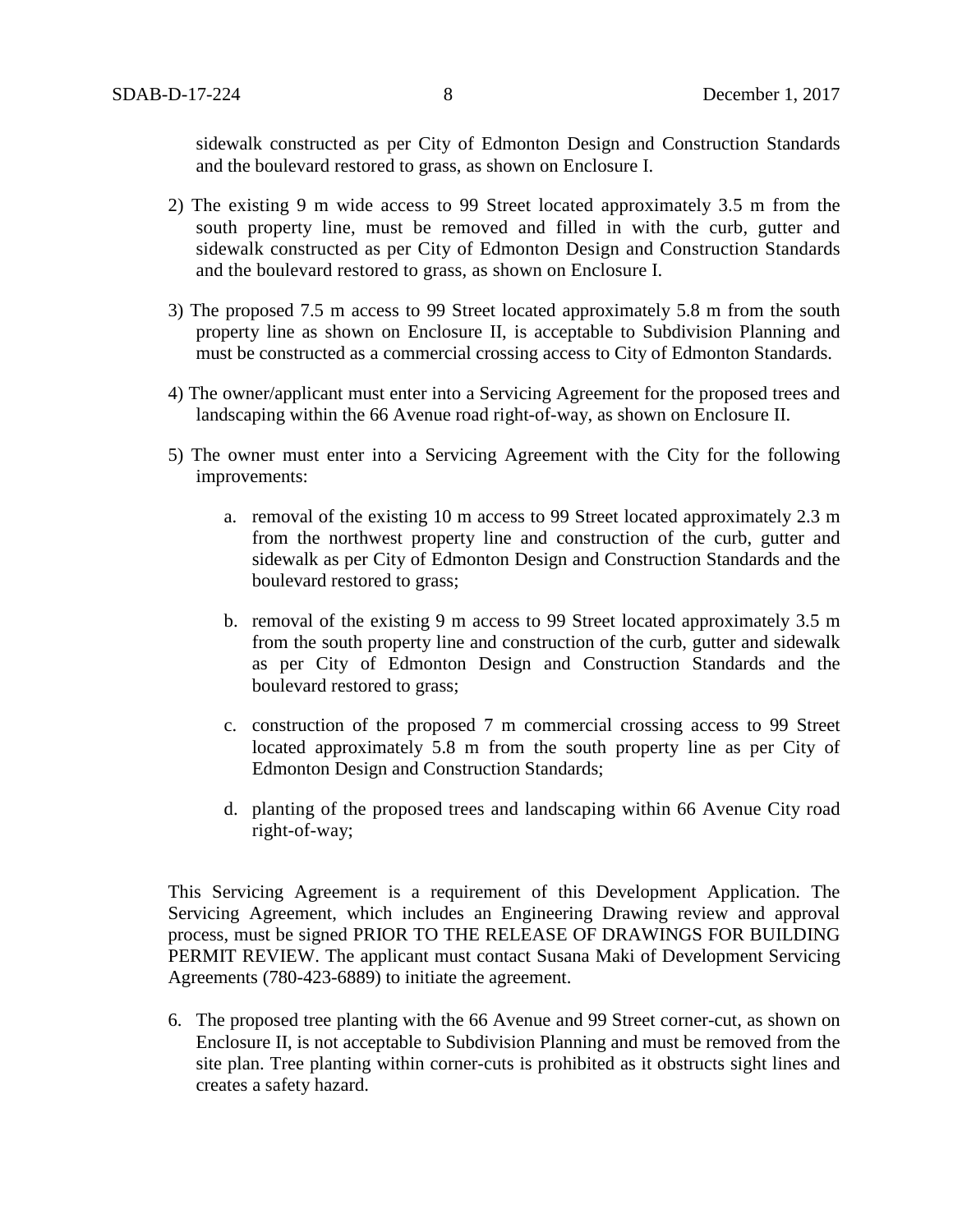sidewalk constructed as per City of Edmonton Design and Construction Standards and the boulevard restored to grass, as shown on Enclosure I.

- 2) The existing 9 m wide access to 99 Street located approximately 3.5 m from the south property line, must be removed and filled in with the curb, gutter and sidewalk constructed as per City of Edmonton Design and Construction Standards and the boulevard restored to grass, as shown on Enclosure I.
- 3) The proposed 7.5 m access to 99 Street located approximately 5.8 m from the south property line as shown on Enclosure II, is acceptable to Subdivision Planning and must be constructed as a commercial crossing access to City of Edmonton Standards.
- 4) The owner/applicant must enter into a Servicing Agreement for the proposed trees and landscaping within the 66 Avenue road right-of-way, as shown on Enclosure II.
- 5) The owner must enter into a Servicing Agreement with the City for the following improvements:
	- a. removal of the existing 10 m access to 99 Street located approximately 2.3 m from the northwest property line and construction of the curb, gutter and sidewalk as per City of Edmonton Design and Construction Standards and the boulevard restored to grass;
	- b. removal of the existing 9 m access to 99 Street located approximately 3.5 m from the south property line and construction of the curb, gutter and sidewalk as per City of Edmonton Design and Construction Standards and the boulevard restored to grass;
	- c. construction of the proposed 7 m commercial crossing access to 99 Street located approximately 5.8 m from the south property line as per City of Edmonton Design and Construction Standards;
	- d. planting of the proposed trees and landscaping within 66 Avenue City road right-of-way;

This Servicing Agreement is a requirement of this Development Application. The Servicing Agreement, which includes an Engineering Drawing review and approval process, must be signed PRIOR TO THE RELEASE OF DRAWINGS FOR BUILDING PERMIT REVIEW. The applicant must contact Susana Maki of Development Servicing Agreements (780-423-6889) to initiate the agreement.

6. The proposed tree planting with the 66 Avenue and 99 Street corner-cut, as shown on Enclosure II, is not acceptable to Subdivision Planning and must be removed from the site plan. Tree planting within corner-cuts is prohibited as it obstructs sight lines and creates a safety hazard.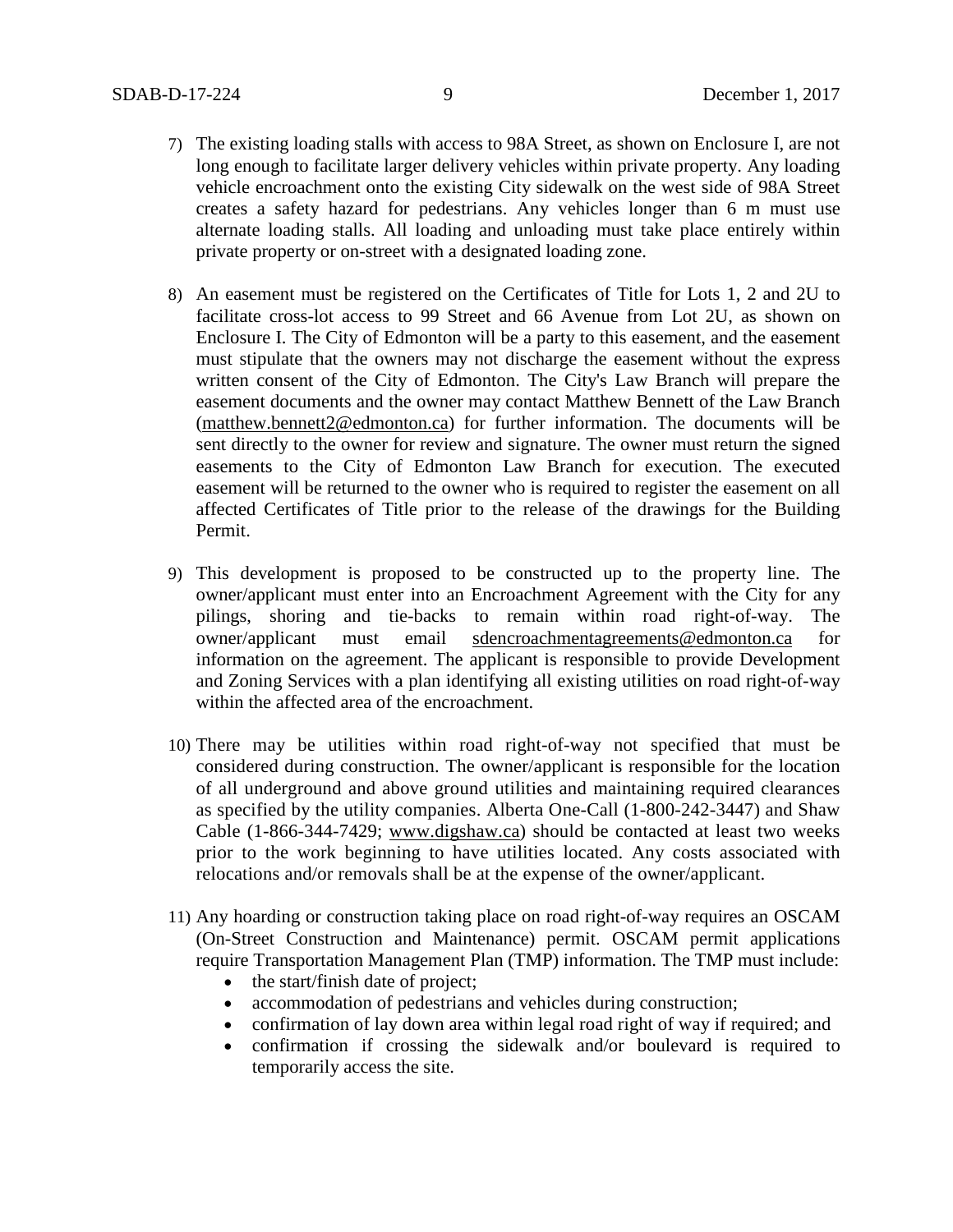- 7) The existing loading stalls with access to 98A Street, as shown on Enclosure I, are not long enough to facilitate larger delivery vehicles within private property. Any loading vehicle encroachment onto the existing City sidewalk on the west side of 98A Street creates a safety hazard for pedestrians. Any vehicles longer than 6 m must use alternate loading stalls. All loading and unloading must take place entirely within private property or on-street with a designated loading zone.
- 8) An easement must be registered on the Certificates of Title for Lots 1, 2 and 2U to facilitate cross-lot access to 99 Street and 66 Avenue from Lot 2U, as shown on Enclosure I. The City of Edmonton will be a party to this easement, and the easement must stipulate that the owners may not discharge the easement without the express written consent of the City of Edmonton. The City's Law Branch will prepare the easement documents and the owner may contact Matthew Bennett of the Law Branch [\(matthew.bennett2@edmonton.ca\)](mailto:matthew.bennett2@edmonton.ca) for further information. The documents will be sent directly to the owner for review and signature. The owner must return the signed easements to the City of Edmonton Law Branch for execution. The executed easement will be returned to the owner who is required to register the easement on all affected Certificates of Title prior to the release of the drawings for the Building Permit.
- 9) This development is proposed to be constructed up to the property line. The owner/applicant must enter into an Encroachment Agreement with the City for any pilings, shoring and tie-backs to remain within road right-of-way. The owner/applicant must email [sdencroachmentagreements@edmonton.ca](mailto:sdencroachmentagreements@edmonton.ca) for information on the agreement. The applicant is responsible to provide Development and Zoning Services with a plan identifying all existing utilities on road right-of-way within the affected area of the encroachment.
- 10) There may be utilities within road right-of-way not specified that must be considered during construction. The owner/applicant is responsible for the location of all underground and above ground utilities and maintaining required clearances as specified by the utility companies. Alberta One-Call (1-800-242-3447) and Shaw Cable (1-866-344-7429; [www.digshaw.ca\)](http://www.digshaw.ca/) should be contacted at least two weeks prior to the work beginning to have utilities located. Any costs associated with relocations and/or removals shall be at the expense of the owner/applicant.
- 11) Any hoarding or construction taking place on road right-of-way requires an OSCAM (On-Street Construction and Maintenance) permit. OSCAM permit applications require Transportation Management Plan (TMP) information. The TMP must include:
	- the start/finish date of project;
	- accommodation of pedestrians and vehicles during construction;
	- confirmation of lay down area within legal road right of way if required; and
	- confirmation if crossing the sidewalk and/or boulevard is required to temporarily access the site.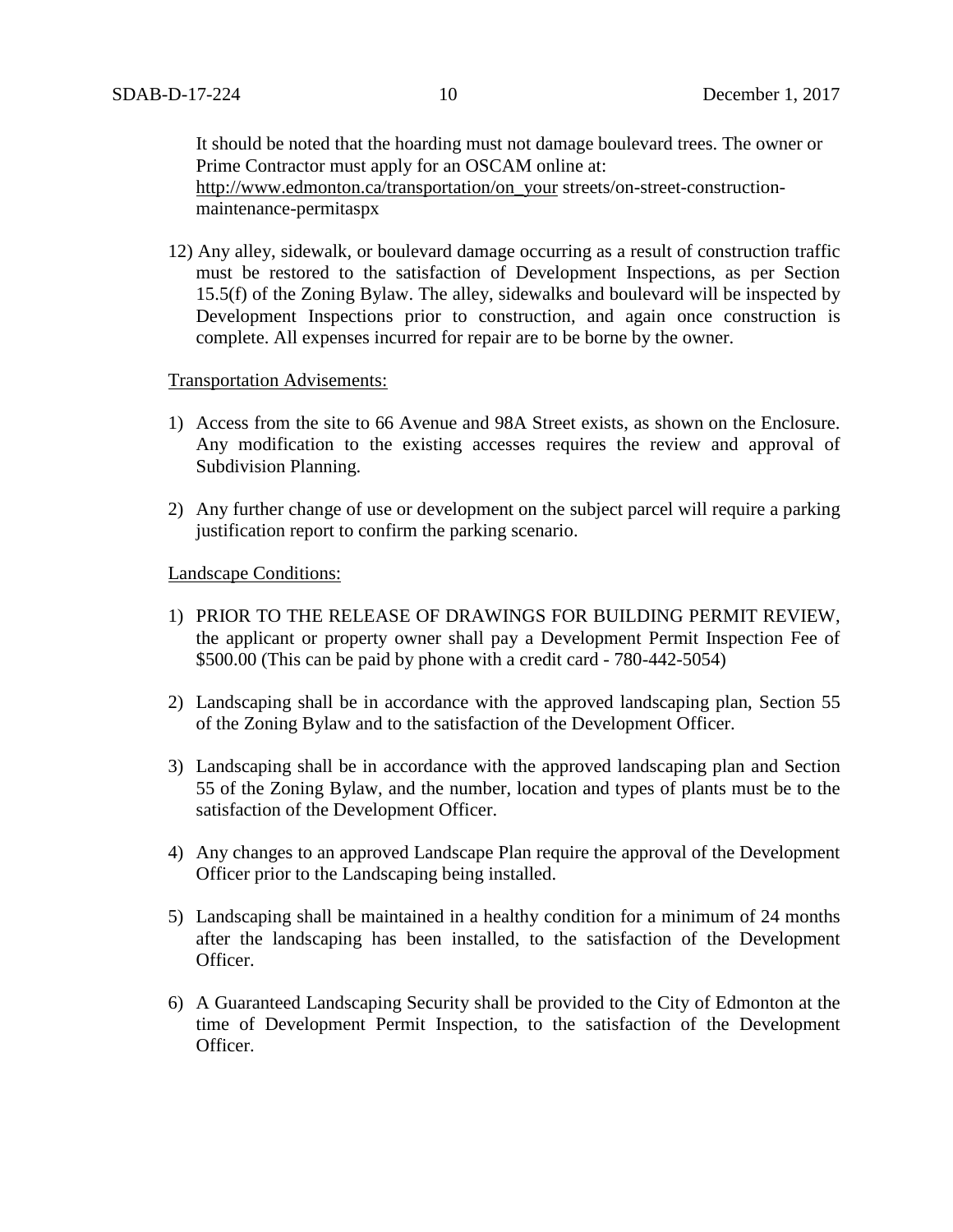It should be noted that the hoarding must not damage boulevard trees. The owner or Prime Contractor must apply for an OSCAM online at:

[http://www.edmonton.ca/transportation/on\\_your](http://vvvvw.edmonton.ca/transportation/on_your) streets/on-street-constructionmaintenance-permitaspx

12) Any alley, sidewalk, or boulevard damage occurring as a result of construction traffic must be restored to the satisfaction of Development Inspections, as per Section 15.5(f) of the Zoning Bylaw. The alley, sidewalks and boulevard will be inspected by Development Inspections prior to construction, and again once construction is complete. All expenses incurred for repair are to be borne by the owner.

# Transportation Advisements:

- 1) Access from the site to 66 Avenue and 98A Street exists, as shown on the Enclosure. Any modification to the existing accesses requires the review and approval of Subdivision Planning.
- 2) Any further change of use or development on the subject parcel will require a parking justification report to confirm the parking scenario.

Landscape Conditions:

- 1) PRIOR TO THE RELEASE OF DRAWINGS FOR BUILDING PERMIT REVIEW, the applicant or property owner shall pay a Development Permit Inspection Fee of \$500.00 (This can be paid by phone with a credit card - 780-442-5054)
- 2) Landscaping shall be in accordance with the approved landscaping plan, Section 55 of the Zoning Bylaw and to the satisfaction of the Development Officer.
- 3) Landscaping shall be in accordance with the approved landscaping plan and Section 55 of the Zoning Bylaw, and the number, location and types of plants must be to the satisfaction of the Development Officer.
- 4) Any changes to an approved Landscape Plan require the approval of the Development Officer prior to the Landscaping being installed.
- 5) Landscaping shall be maintained in a healthy condition for a minimum of 24 months after the landscaping has been installed, to the satisfaction of the Development Officer.
- 6) A Guaranteed Landscaping Security shall be provided to the City of Edmonton at the time of Development Permit Inspection, to the satisfaction of the Development Officer.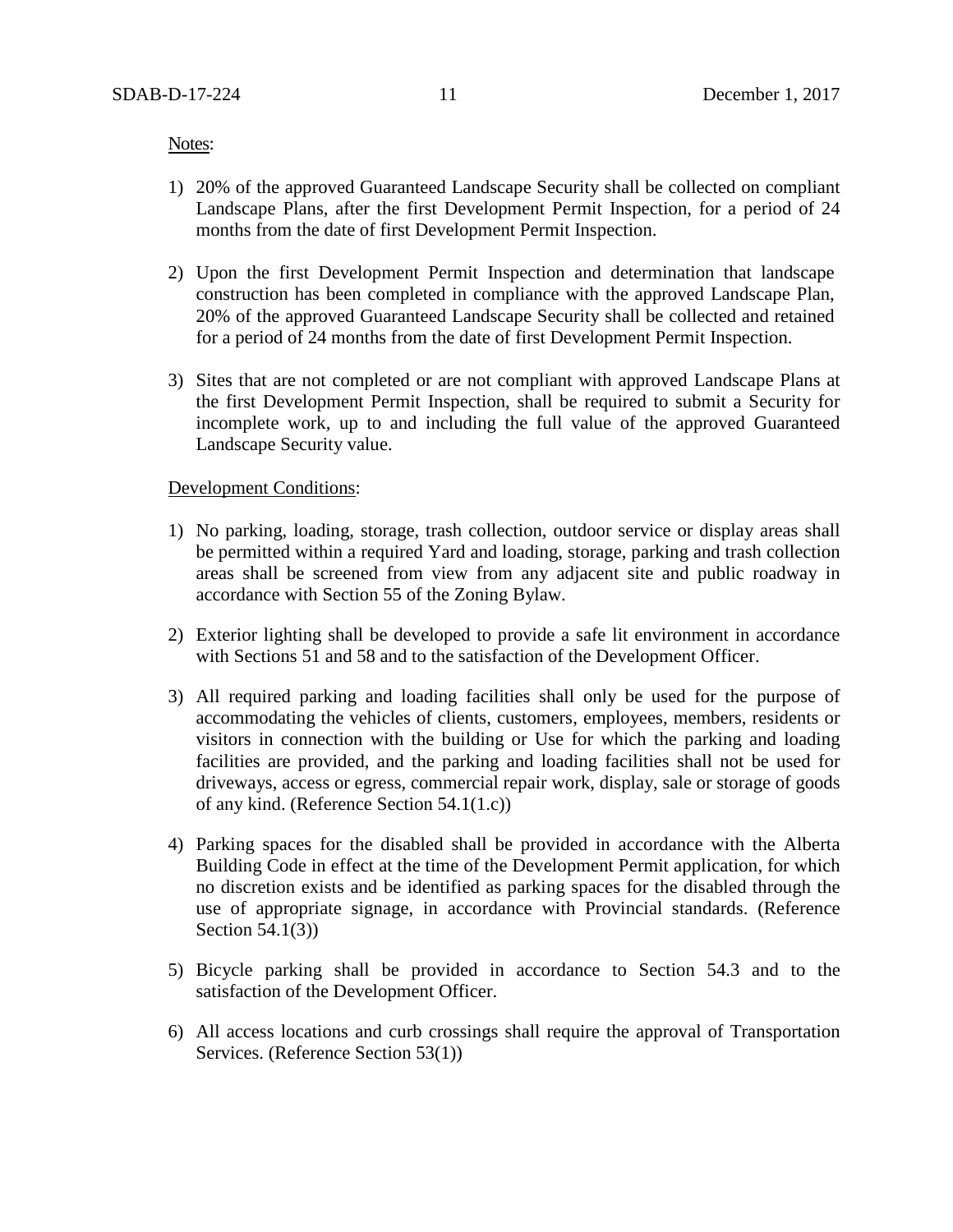Notes:

- 1) 20% of the approved Guaranteed Landscape Security shall be collected on compliant Landscape Plans, after the first Development Permit Inspection, for a period of 24 months from the date of first Development Permit Inspection.
- 2) Upon the first Development Permit Inspection and determination that landscape construction has been completed in compliance with the approved Landscape Plan, 20% of the approved Guaranteed Landscape Security shall be collected and retained for a period of 24 months from the date of first Development Permit Inspection.
- 3) Sites that are not completed or are not compliant with approved Landscape Plans at the first Development Permit Inspection, shall be required to submit a Security for incomplete work, up to and including the full value of the approved Guaranteed Landscape Security value.

# Development Conditions:

- 1) No parking, loading, storage, trash collection, outdoor service or display areas shall be permitted within a required Yard and loading, storage, parking and trash collection areas shall be screened from view from any adjacent site and public roadway in accordance with Section 55 of the Zoning Bylaw.
- 2) Exterior lighting shall be developed to provide a safe lit environment in accordance with Sections 51 and 58 and to the satisfaction of the Development Officer.
- 3) All required parking and loading facilities shall only be used for the purpose of accommodating the vehicles of clients, customers, employees, members, residents or visitors in connection with the building or Use for which the parking and loading facilities are provided, and the parking and loading facilities shall not be used for driveways, access or egress, commercial repair work, display, sale or storage of goods of any kind. (Reference Section 54.1(1.c))
- 4) Parking spaces for the disabled shall be provided in accordance with the Alberta Building Code in effect at the time of the Development Permit application, for which no discretion exists and be identified as parking spaces for the disabled through the use of appropriate signage, in accordance with Provincial standards. (Reference Section 54.1(3))
- 5) Bicycle parking shall be provided in accordance to Section 54.3 and to the satisfaction of the Development Officer.
- 6) All access locations and curb crossings shall require the approval of Transportation Services. (Reference Section 53(1))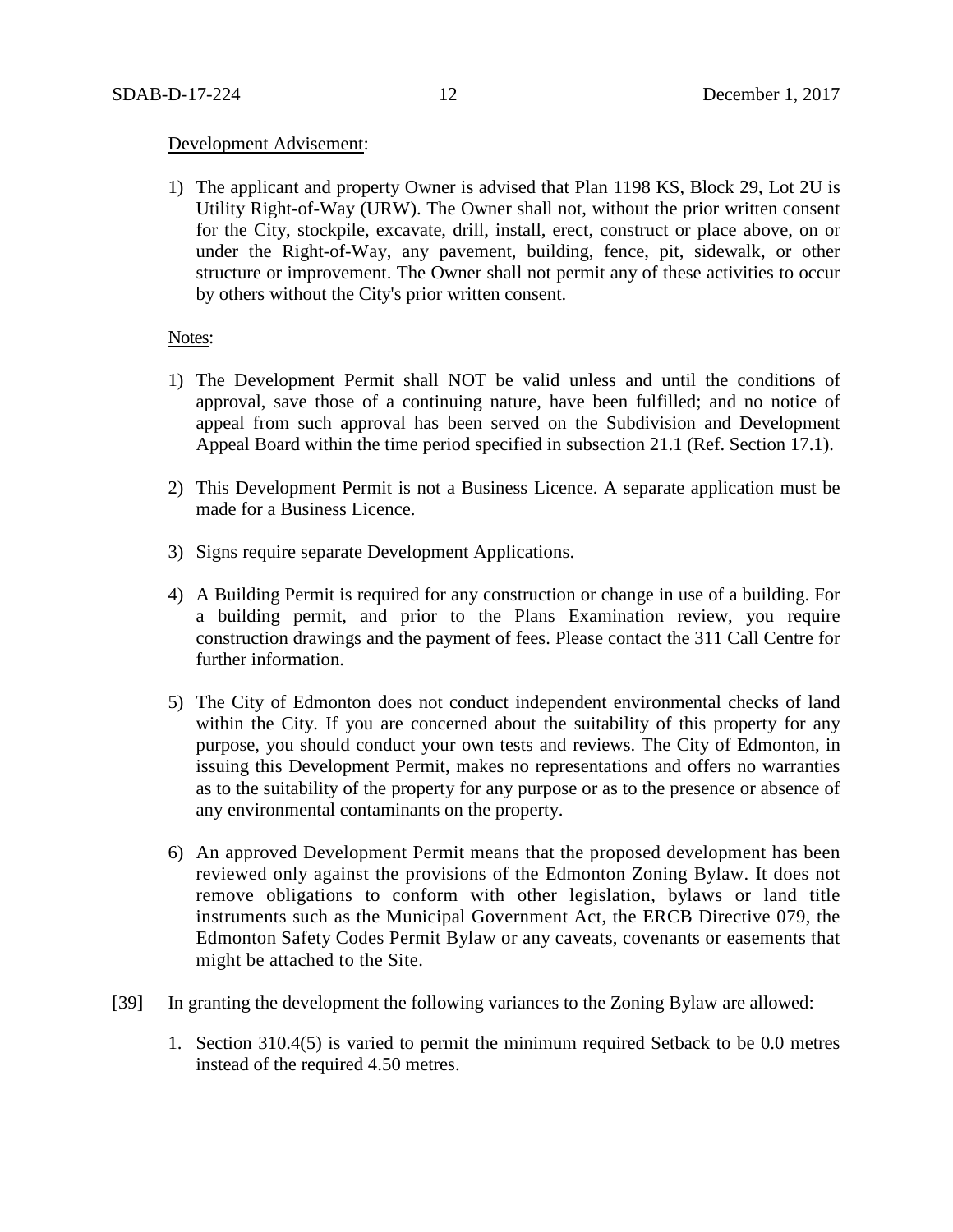## Development Advisement:

1) The applicant and property Owner is advised that Plan 1198 KS, Block 29, Lot 2U is Utility Right-of-Way (URW). The Owner shall not, without the prior written consent for the City, stockpile, excavate, drill, install, erect, construct or place above, on or under the Right-of-Way, any pavement, building, fence, pit, sidewalk, or other structure or improvement. The Owner shall not permit any of these activities to occur by others without the City's prior written consent.

## Notes:

- 1) The Development Permit shall NOT be valid unless and until the conditions of approval, save those of a continuing nature, have been fulfilled; and no notice of appeal from such approval has been served on the Subdivision and Development Appeal Board within the time period specified in subsection 21.1 (Ref. Section 17.1).
- 2) This Development Permit is not a Business Licence. A separate application must be made for a Business Licence.
- 3) Signs require separate Development Applications.
- 4) A Building Permit is required for any construction or change in use of a building. For a building permit, and prior to the Plans Examination review, you require construction drawings and the payment of fees. Please contact the 311 Call Centre for further information.
- 5) The City of Edmonton does not conduct independent environmental checks of land within the City. If you are concerned about the suitability of this property for any purpose, you should conduct your own tests and reviews. The City of Edmonton, in issuing this Development Permit, makes no representations and offers no warranties as to the suitability of the property for any purpose or as to the presence or absence of any environmental contaminants on the property.
- 6) An approved Development Permit means that the proposed development has been reviewed only against the provisions of the Edmonton Zoning Bylaw. It does not remove obligations to conform with other legislation, bylaws or land title instruments such as the Municipal Government Act, the ERCB Directive 079, the Edmonton Safety Codes Permit Bylaw or any caveats, covenants or easements that might be attached to the Site.
- [39] In granting the development the following variances to the Zoning Bylaw are allowed:
	- 1. Section 310.4(5) is varied to permit the minimum required Setback to be 0.0 metres instead of the required 4.50 metres.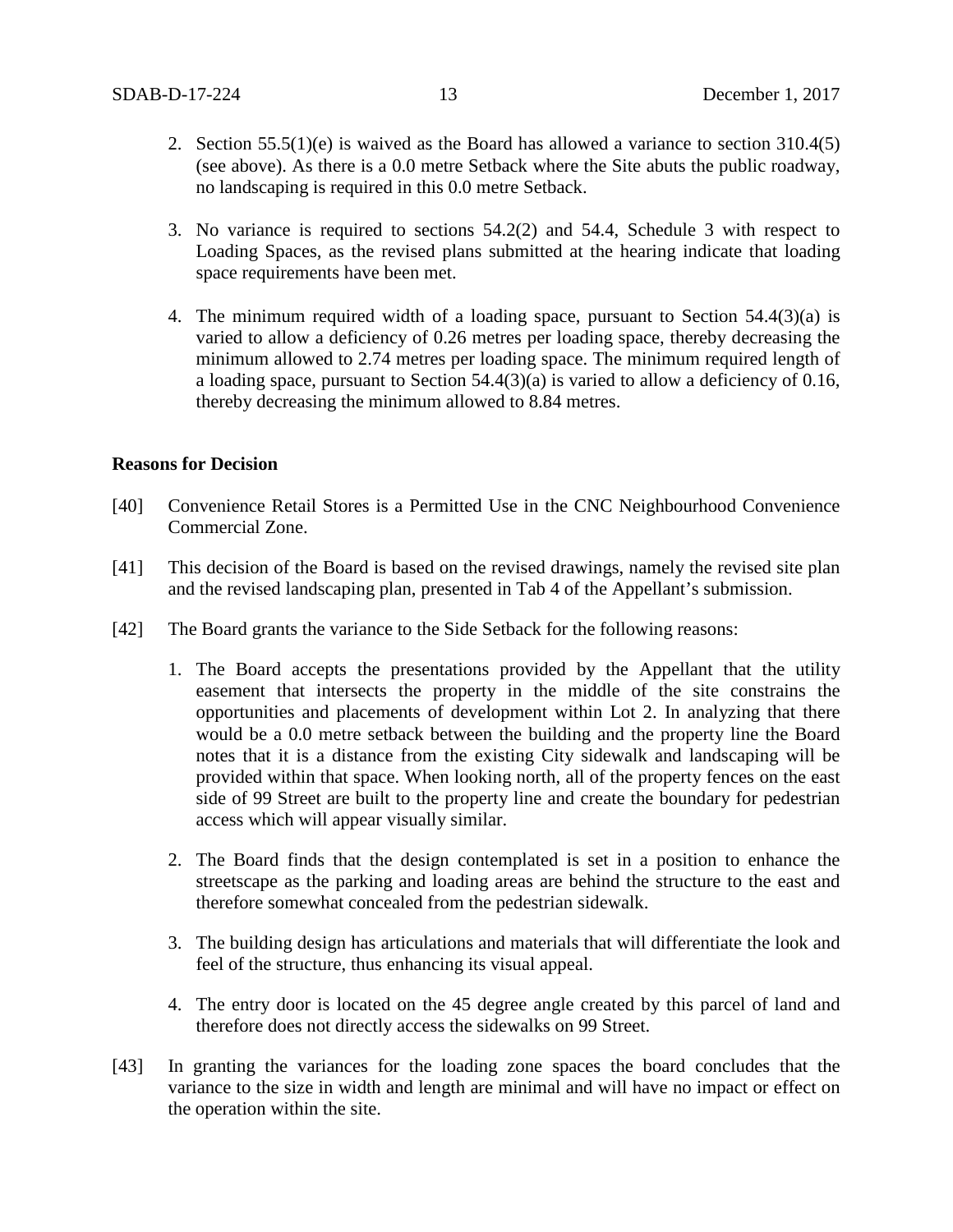- 2. Section  $55.5(1)(e)$  is waived as the Board has allowed a variance to section 310.4(5) (see above). As there is a 0.0 metre Setback where the Site abuts the public roadway, no landscaping is required in this 0.0 metre Setback.
- 3. No variance is required to sections 54.2(2) and 54.4, Schedule 3 with respect to Loading Spaces, as the revised plans submitted at the hearing indicate that loading space requirements have been met.
- 4. The minimum required width of a loading space, pursuant to Section 54.4(3)(a) is varied to allow a deficiency of 0.26 metres per loading space, thereby decreasing the minimum allowed to 2.74 metres per loading space. The minimum required length of a loading space, pursuant to Section 54.4(3)(a) is varied to allow a deficiency of 0.16, thereby decreasing the minimum allowed to 8.84 metres.

# **Reasons for Decision**

- [40] Convenience Retail Stores is a Permitted Use in the CNC Neighbourhood Convenience Commercial Zone.
- [41] This decision of the Board is based on the revised drawings, namely the revised site plan and the revised landscaping plan, presented in Tab 4 of the Appellant's submission.
- [42] The Board grants the variance to the Side Setback for the following reasons:
	- 1. The Board accepts the presentations provided by the Appellant that the utility easement that intersects the property in the middle of the site constrains the opportunities and placements of development within Lot 2. In analyzing that there would be a 0.0 metre setback between the building and the property line the Board notes that it is a distance from the existing City sidewalk and landscaping will be provided within that space. When looking north, all of the property fences on the east side of 99 Street are built to the property line and create the boundary for pedestrian access which will appear visually similar.
	- 2. The Board finds that the design contemplated is set in a position to enhance the streetscape as the parking and loading areas are behind the structure to the east and therefore somewhat concealed from the pedestrian sidewalk.
	- 3. The building design has articulations and materials that will differentiate the look and feel of the structure, thus enhancing its visual appeal.
	- 4. The entry door is located on the 45 degree angle created by this parcel of land and therefore does not directly access the sidewalks on 99 Street.
- [43] In granting the variances for the loading zone spaces the board concludes that the variance to the size in width and length are minimal and will have no impact or effect on the operation within the site.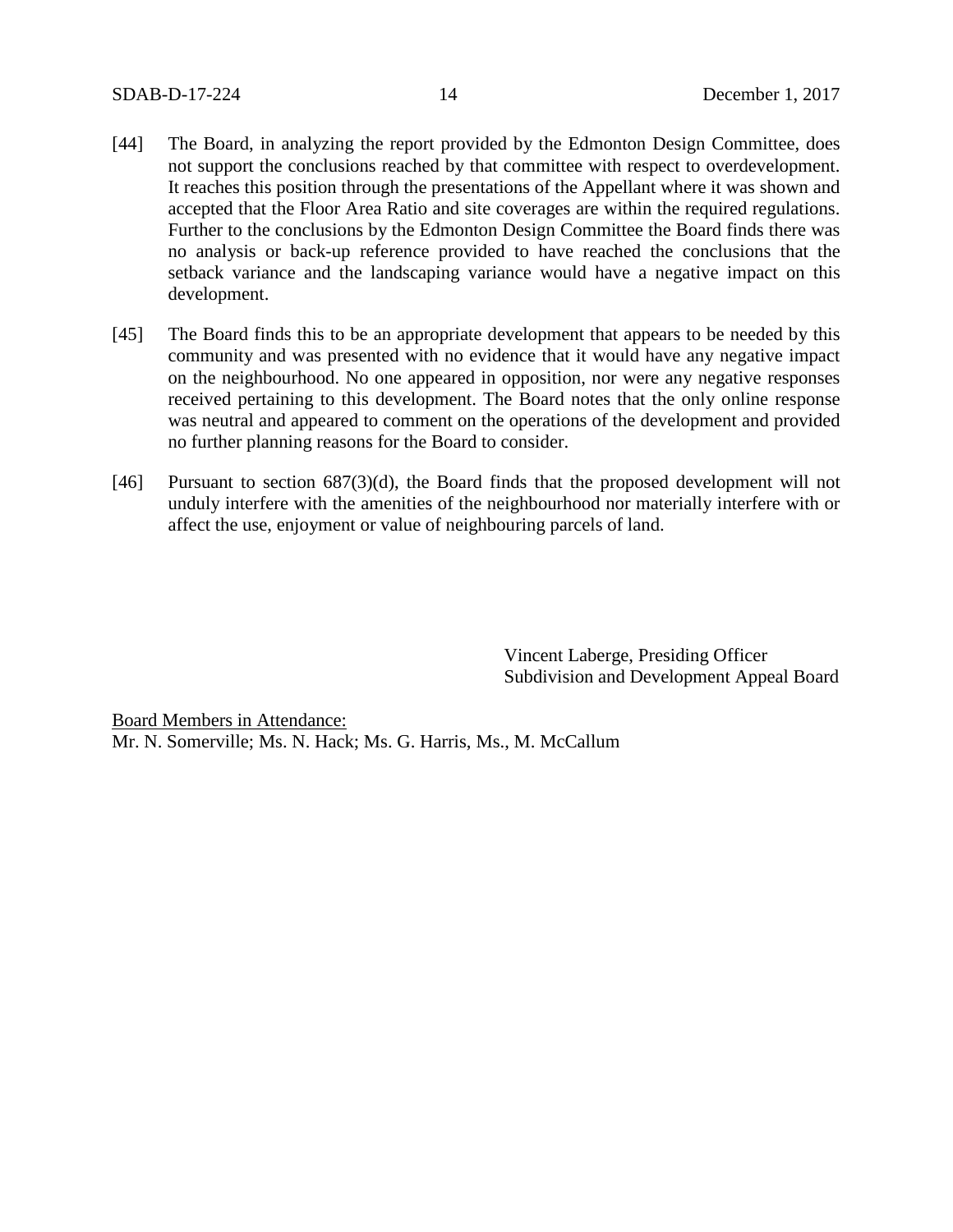- [44] The Board, in analyzing the report provided by the Edmonton Design Committee, does not support the conclusions reached by that committee with respect to overdevelopment. It reaches this position through the presentations of the Appellant where it was shown and accepted that the Floor Area Ratio and site coverages are within the required regulations. Further to the conclusions by the Edmonton Design Committee the Board finds there was no analysis or back-up reference provided to have reached the conclusions that the setback variance and the landscaping variance would have a negative impact on this development.
- [45] The Board finds this to be an appropriate development that appears to be needed by this community and was presented with no evidence that it would have any negative impact on the neighbourhood. No one appeared in opposition, nor were any negative responses received pertaining to this development. The Board notes that the only online response was neutral and appeared to comment on the operations of the development and provided no further planning reasons for the Board to consider.
- [46] Pursuant to section 687(3)(d), the Board finds that the proposed development will not unduly interfere with the amenities of the neighbourhood nor materially interfere with or affect the use, enjoyment or value of neighbouring parcels of land.

Vincent Laberge, Presiding Officer Subdivision and Development Appeal Board

Board Members in Attendance: Mr. N. Somerville; Ms. N. Hack; Ms. G. Harris, Ms., M. McCallum